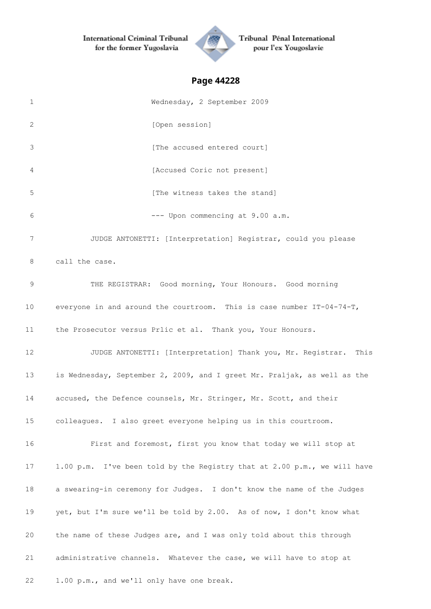

Tribunal Pénal International pour l'ex Yougoslavie

| 1  | Wednesday, 2 September 2009                                              |
|----|--------------------------------------------------------------------------|
| 2  | [Open session]                                                           |
| 3  | [The accused entered court]                                              |
| 4  | [Accused Coric not present]                                              |
| 5  | [The witness takes the stand]                                            |
| 6  | --- Upon commencing at 9.00 a.m.                                         |
| 7  | JUDGE ANTONETTI: [Interpretation] Registrar, could you please            |
| 8  | call the case.                                                           |
| 9  | THE REGISTRAR: Good morning, Your Honours. Good morning                  |
| 10 | everyone in and around the courtroom. This is case number IT-04-74-T,    |
| 11 | the Prosecutor versus Prlic et al. Thank you, Your Honours.              |
| 12 | JUDGE ANTONETTI: [Interpretation] Thank you, Mr. Registrar. This         |
| 13 | is Wednesday, September 2, 2009, and I greet Mr. Praljak, as well as the |
| 14 | accused, the Defence counsels, Mr. Stringer, Mr. Scott, and their        |
| 15 | colleagues. I also greet everyone helping us in this courtroom.          |
| 16 | First and foremost, first you know that today we will stop at            |
| 17 | 1.00 p.m. I've been told by the Registry that at 2.00 p.m., we will have |
| 18 | a swearing-in ceremony for Judges. I don't know the name of the Judges   |
| 19 | yet, but I'm sure we'll be told by 2.00. As of now, I don't know what    |
| 20 | the name of these Judges are, and I was only told about this through     |
| 21 | administrative channels. Whatever the case, we will have to stop at      |
| 22 | 1.00 p.m., and we'll only have one break.                                |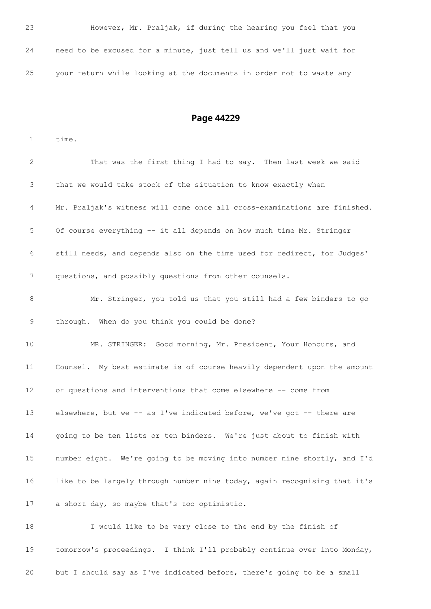| 23 |  |  | However, Mr. Praljak, if during the hearing you feel that you         |  |  |  |
|----|--|--|-----------------------------------------------------------------------|--|--|--|
| 24 |  |  | need to be excused for a minute, just tell us and we'll just wait for |  |  |  |
| 25 |  |  | your return while looking at the documents in order not to waste any  |  |  |  |

# **Page 44229**

time.

| 2               | That was the first thing I had to say. Then last week we said             |
|-----------------|---------------------------------------------------------------------------|
| 3               | that we would take stock of the situation to know exactly when            |
| 4               | Mr. Praljak's witness will come once all cross-examinations are finished. |
| 5               | Of course everything -- it all depends on how much time Mr. Stringer      |
| 6               | still needs, and depends also on the time used for redirect, for Judges'  |
| 7               | questions, and possibly questions from other counsels.                    |
| 8               | Mr. Stringer, you told us that you still had a few binders to go          |
| 9               | through. When do you think you could be done?                             |
| 10              | MR. STRINGER: Good morning, Mr. President, Your Honours, and              |
| 11              | Counsel. My best estimate is of course heavily dependent upon the amount  |
| 12 <sup>°</sup> | of questions and interventions that come elsewhere -- come from           |
| 13              | elsewhere, but we -- as I've indicated before, we've got -- there are     |
| 14              | going to be ten lists or ten binders. We're just about to finish with     |
| 15              | number eight. We're going to be moving into number nine shortly, and I'd  |
| 16              | like to be largely through number nine today, again recognising that it's |
| 17              | a short day, so maybe that's too optimistic.                              |
| 18              | I would like to be very close to the end by the finish of                 |
| 19              | tomorrow's proceedings. I think I'll probably continue over into Monday,  |

but I should say as I've indicated before, there's going to be a small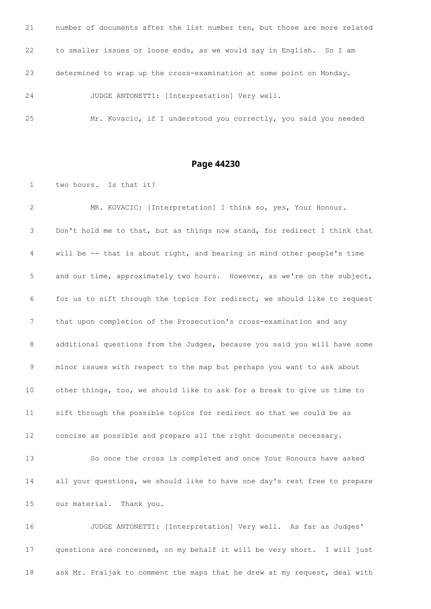number of documents after the list number ten, but those are more related to smaller issues or loose ends, as we would say in English. So I am determined to wrap up the cross-examination at some point on Monday. JUDGE ANTONETTI: [Interpretation] Very well.

Mr. Kovacic, if I understood you correctly, you said you needed

**Page 44230**

two hours. Is that it?

 MR. KOVACIC: [Interpretation] I think so, yes, Your Honour. Don't hold me to that, but as things now stand, for redirect I think that will be -- that is about right, and bearing in mind other people's time and our time, approximately two hours. However, as we're on the subject, for us to sift through the topics for redirect, we should like to request that upon completion of the Prosecution's cross-examination and any additional questions from the Judges, because you said you will have some minor issues with respect to the map but perhaps you want to ask about other things, too, we should like to ask for a break to give us time to sift through the possible topics for redirect so that we could be as concise as possible and prepare all the right documents necessary. So once the cross is completed and once Your Honours have asked all your questions, we should like to have one day's rest free to prepare our material. Thank you. JUDGE ANTONETTI: [Interpretation] Very well. As far as Judges'

 questions are concerned, on my behalf it will be very short. I will just ask Mr. Praljak to comment the maps that he drew at my request, deal with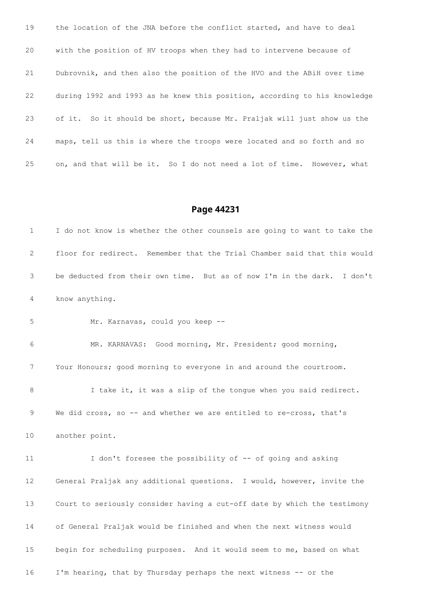the location of the JNA before the conflict started, and have to deal with the position of HV troops when they had to intervene because of Dubrovnik, and then also the position of the HVO and the ABiH over time during 1992 and 1993 as he knew this position, according to his knowledge of it. So it should be short, because Mr. Praljak will just show us the maps, tell us this is where the troops were located and so forth and so on, and that will be it. So I do not need a lot of time. However, what

#### **Page 44231**

 I do not know is whether the other counsels are going to want to take the floor for redirect. Remember that the Trial Chamber said that this would be deducted from their own time. But as of now I'm in the dark. I don't know anything.

Mr. Karnavas, could you keep --

 MR. KARNAVAS: Good morning, Mr. President; good morning, Your Honours; good morning to everyone in and around the courtroom. 8 I take it, it was a slip of the tongue when you said redirect. 9 We did cross, so -- and whether we are entitled to re-cross, that's another point.

 I don't foresee the possibility of -- of going and asking General Praljak any additional questions. I would, however, invite the Court to seriously consider having a cut-off date by which the testimony of General Praljak would be finished and when the next witness would begin for scheduling purposes. And it would seem to me, based on what I'm hearing, that by Thursday perhaps the next witness -- or the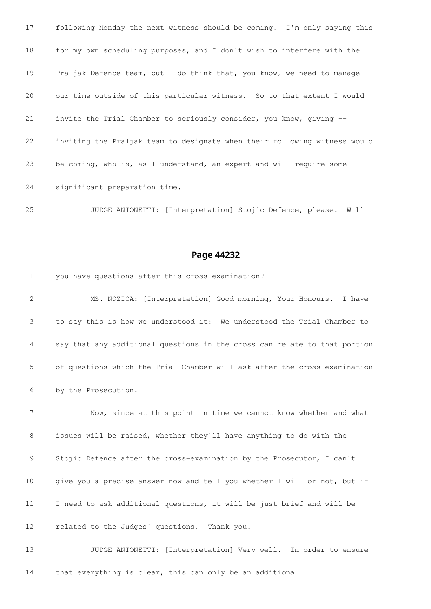following Monday the next witness should be coming. I'm only saying this for my own scheduling purposes, and I don't wish to interfere with the 19 Praljak Defence team, but I do think that, you know, we need to manage our time outside of this particular witness. So to that extent I would invite the Trial Chamber to seriously consider, you know, giving -- inviting the Praljak team to designate when their following witness would be coming, who is, as I understand, an expert and will require some significant preparation time.

JUDGE ANTONETTI: [Interpretation] Stojic Defence, please. Will

### **Page 44232**

 you have questions after this cross-examination? MS. NOZICA: [Interpretation] Good morning, Your Honours. I have to say this is how we understood it: We understood the Trial Chamber to say that any additional questions in the cross can relate to that portion of questions which the Trial Chamber will ask after the cross-examination by the Prosecution.

 Now, since at this point in time we cannot know whether and what issues will be raised, whether they'll have anything to do with the Stojic Defence after the cross-examination by the Prosecutor, I can't give you a precise answer now and tell you whether I will or not, but if I need to ask additional questions, it will be just brief and will be related to the Judges' questions. Thank you.

 JUDGE ANTONETTI: [Interpretation] Very well. In order to ensure that everything is clear, this can only be an additional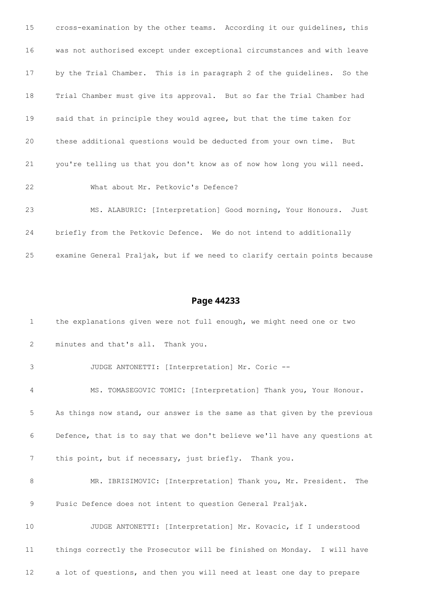cross-examination by the other teams. According it our guidelines, this was not authorised except under exceptional circumstances and with leave by the Trial Chamber. This is in paragraph 2 of the guidelines. So the Trial Chamber must give its approval. But so far the Trial Chamber had said that in principle they would agree, but that the time taken for these additional questions would be deducted from your own time. But you're telling us that you don't know as of now how long you will need. What about Mr. Petkovic's Defence? MS. ALABURIC: [Interpretation] Good morning, Your Honours. Just briefly from the Petkovic Defence. We do not intend to additionally

examine General Praljak, but if we need to clarify certain points because

| $\mathbf 1$ | the explanations given were not full enough, we might need one or two     |
|-------------|---------------------------------------------------------------------------|
| 2           | minutes and that's all. Thank you.                                        |
| 3           | JUDGE ANTONETTI: [Interpretation] Mr. Coric --                            |
| 4           | MS. TOMASEGOVIC TOMIC: [Interpretation] Thank you, Your Honour.           |
| 5           | As things now stand, our answer is the same as that given by the previous |
| 6           | Defence, that is to say that we don't believe we'll have any questions at |
| 7           | this point, but if necessary, just briefly. Thank you.                    |
| 8           | MR. IBRISIMOVIC: [Interpretation] Thank you, Mr. President.<br>The        |
| 9           | Pusic Defence does not intent to question General Praljak.                |
| 10          | JUDGE ANTONETTI: [Interpretation] Mr. Kovacic, if I understood            |
| 11          | things correctly the Prosecutor will be finished on Monday. I will have   |
| 12          | a lot of questions, and then you will need at least one day to prepare    |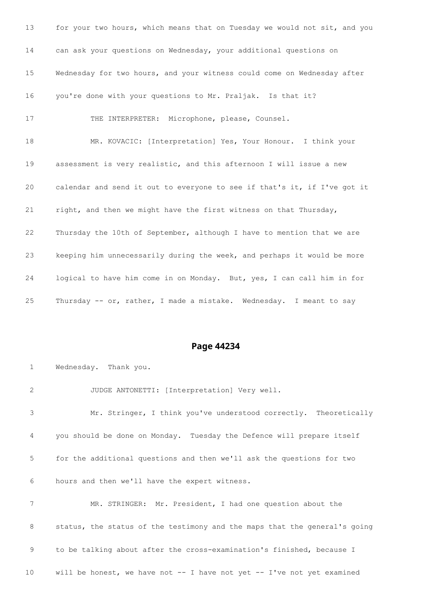for your two hours, which means that on Tuesday we would not sit, and you can ask your questions on Wednesday, your additional questions on Wednesday for two hours, and your witness could come on Wednesday after you're done with your questions to Mr. Praljak. Is that it? THE INTERPRETER: Microphone, please, Counsel. MR. KOVACIC: [Interpretation] Yes, Your Honour. I think your assessment is very realistic, and this afternoon I will issue a new calendar and send it out to everyone to see if that's it, if I've got it right, and then we might have the first witness on that Thursday, Thursday the 10th of September, although I have to mention that we are keeping him unnecessarily during the week, and perhaps it would be more logical to have him come in on Monday. But, yes, I can call him in for Thursday -- or, rather, I made a mistake. Wednesday. I meant to say

### **Page 44234**

 Wednesday. Thank you. JUDGE ANTONETTI: [Interpretation] Very well. Mr. Stringer, I think you've understood correctly. Theoretically you should be done on Monday. Tuesday the Defence will prepare itself for the additional questions and then we'll ask the questions for two hours and then we'll have the expert witness. MR. STRINGER: Mr. President, I had one question about the 8 status, the status of the testimony and the maps that the general's going to be talking about after the cross-examination's finished, because I will be honest, we have not -- I have not yet -- I've not yet examined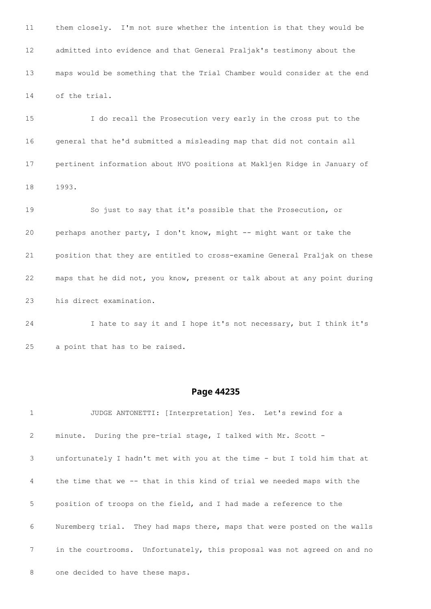them closely. I'm not sure whether the intention is that they would be admitted into evidence and that General Praljak's testimony about the maps would be something that the Trial Chamber would consider at the end of the trial.

 I do recall the Prosecution very early in the cross put to the general that he'd submitted a misleading map that did not contain all pertinent information about HVO positions at Makljen Ridge in January of 1993.

 So just to say that it's possible that the Prosecution, or perhaps another party, I don't know, might -- might want or take the position that they are entitled to cross-examine General Praljak on these maps that he did not, you know, present or talk about at any point during his direct examination.

 I hate to say it and I hope it's not necessary, but I think it's a point that has to be raised.

### **Page 44235**

 JUDGE ANTONETTI: [Interpretation] Yes. Let's rewind for a minute. During the pre-trial stage, I talked with Mr. Scott - unfortunately I hadn't met with you at the time - but I told him that at the time that we -- that in this kind of trial we needed maps with the position of troops on the field, and I had made a reference to the Nuremberg trial. They had maps there, maps that were posted on the walls in the courtrooms. Unfortunately, this proposal was not agreed on and no one decided to have these maps.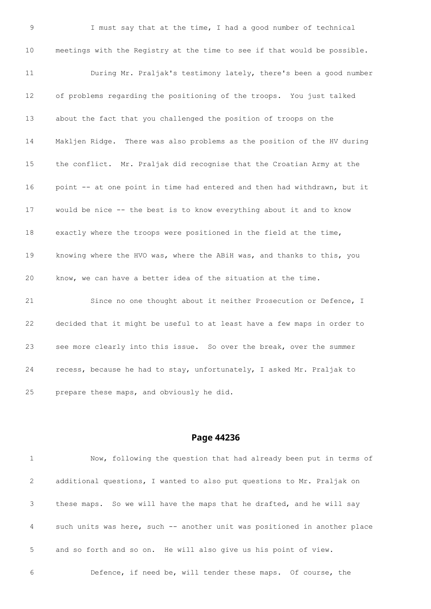I must say that at the time, I had a good number of technical meetings with the Registry at the time to see if that would be possible. During Mr. Praljak's testimony lately, there's been a good number of problems regarding the positioning of the troops. You just talked about the fact that you challenged the position of troops on the Makljen Ridge. There was also problems as the position of the HV during the conflict. Mr. Praljak did recognise that the Croatian Army at the 16 point -- at one point in time had entered and then had withdrawn, but it would be nice -- the best is to know everything about it and to know exactly where the troops were positioned in the field at the time, knowing where the HVO was, where the ABiH was, and thanks to this, you know, we can have a better idea of the situation at the time. Since no one thought about it neither Prosecution or Defence, I decided that it might be useful to at least have a few maps in order to see more clearly into this issue. So over the break, over the summer recess, because he had to stay, unfortunately, I asked Mr. Praljak to

prepare these maps, and obviously he did.

#### **Page 44236**

 Now, following the question that had already been put in terms of additional questions, I wanted to also put questions to Mr. Praljak on these maps. So we will have the maps that he drafted, and he will say such units was here, such -- another unit was positioned in another place and so forth and so on. He will also give us his point of view.

Defence, if need be, will tender these maps. Of course, the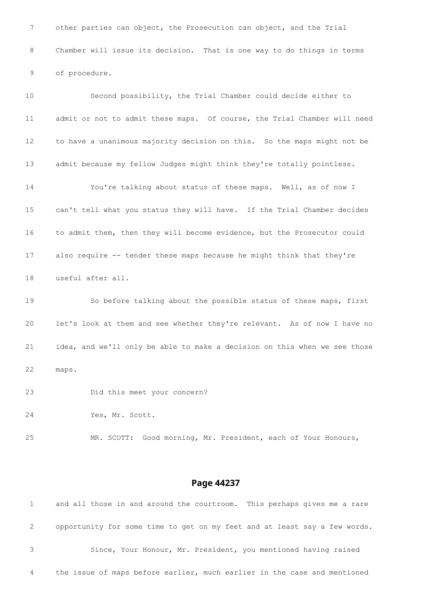other parties can object, the Prosecution can object, and the Trial Chamber will issue its decision. That is one way to do things in terms of procedure.

 Second possibility, the Trial Chamber could decide either to admit or not to admit these maps. Of course, the Trial Chamber will need to have a unanimous majority decision on this. So the maps might not be admit because my fellow Judges might think they're totally pointless. You're talking about status of these maps. Well, as of now I can't tell what you status they will have. If the Trial Chamber decides to admit them, then they will become evidence, but the Prosecutor could also require -- tender these maps because he might think that they're useful after all. So before talking about the possible status of these maps, first let's look at them and see whether they're relevant. As of now I have no

maps.

Did this meet your concern?

Yes, Mr. Scott.

MR. SCOTT: Good morning, Mr. President, each of Your Honours,

idea, and we'll only be able to make a decision on this when we see those

#### **Page 44237**

 and all those in and around the courtroom. This perhaps gives me a rare opportunity for some time to get on my feet and at least say a few words. Since, Your Honour, Mr. President, you mentioned having raised the issue of maps before earlier, much earlier in the case and mentioned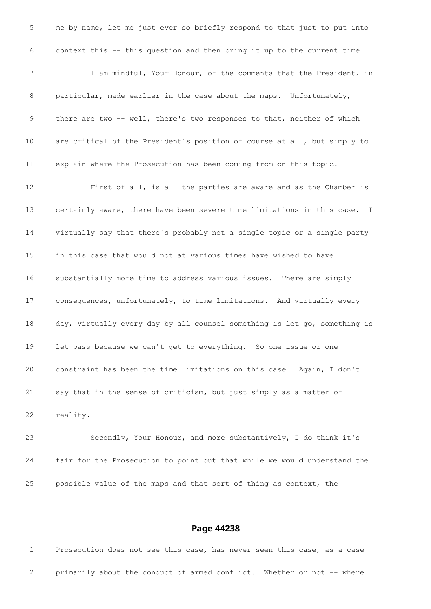me by name, let me just ever so briefly respond to that just to put into context this -- this question and then bring it up to the current time. I am mindful, Your Honour, of the comments that the President, in 8 particular, made earlier in the case about the maps. Unfortunately, there are two -- well, there's two responses to that, neither of which are critical of the President's position of course at all, but simply to explain where the Prosecution has been coming from on this topic. First of all, is all the parties are aware and as the Chamber is certainly aware, there have been severe time limitations in this case. I virtually say that there's probably not a single topic or a single party in this case that would not at various times have wished to have substantially more time to address various issues. There are simply consequences, unfortunately, to time limitations. And virtually every day, virtually every day by all counsel something is let go, something is let pass because we can't get to everything. So one issue or one constraint has been the time limitations on this case. Again, I don't say that in the sense of criticism, but just simply as a matter of reality.

 Secondly, Your Honour, and more substantively, I do think it's fair for the Prosecution to point out that while we would understand the possible value of the maps and that sort of thing as context, the

#### **Page 44238**

 Prosecution does not see this case, has never seen this case, as a case primarily about the conduct of armed conflict. Whether or not -- where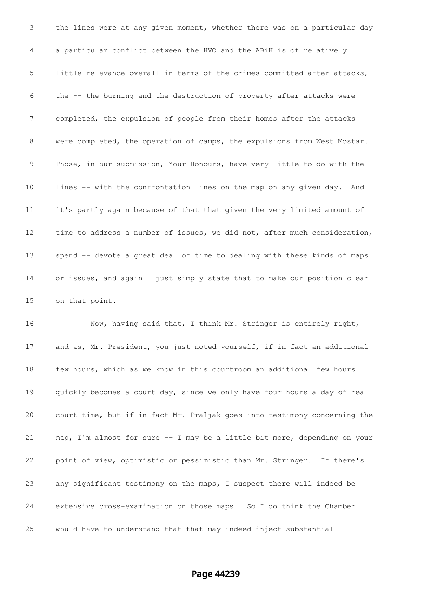the lines were at any given moment, whether there was on a particular day a particular conflict between the HVO and the ABiH is of relatively little relevance overall in terms of the crimes committed after attacks, the -- the burning and the destruction of property after attacks were completed, the expulsion of people from their homes after the attacks were completed, the operation of camps, the expulsions from West Mostar. Those, in our submission, Your Honours, have very little to do with the lines -- with the confrontation lines on the map on any given day. And it's partly again because of that that given the very limited amount of 12 time to address a number of issues, we did not, after much consideration, spend -- devote a great deal of time to dealing with these kinds of maps or issues, and again I just simply state that to make our position clear on that point.

16 Now, having said that, I think Mr. Stringer is entirely right, 17 and as, Mr. President, you just noted yourself, if in fact an additional few hours, which as we know in this courtroom an additional few hours quickly becomes a court day, since we only have four hours a day of real court time, but if in fact Mr. Praljak goes into testimony concerning the map, I'm almost for sure -- I may be a little bit more, depending on your point of view, optimistic or pessimistic than Mr. Stringer. If there's any significant testimony on the maps, I suspect there will indeed be extensive cross-examination on those maps. So I do think the Chamber would have to understand that that may indeed inject substantial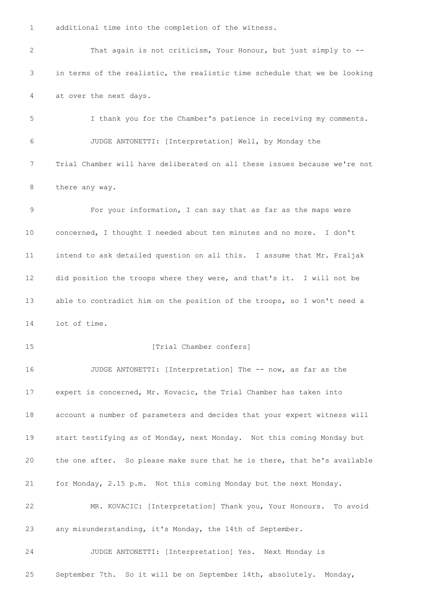additional time into the completion of the witness.

 That again is not criticism, Your Honour, but just simply to -- in terms of the realistic, the realistic time schedule that we be looking at over the next days. I thank you for the Chamber's patience in receiving my comments. JUDGE ANTONETTI: [Interpretation] Well, by Monday the Trial Chamber will have deliberated on all these issues because we're not there any way. For your information, I can say that as far as the maps were concerned, I thought I needed about ten minutes and no more. I don't intend to ask detailed question on all this. I assume that Mr. Praljak did position the troops where they were, and that's it. I will not be 13 able to contradict him on the position of the troops, so I won't need a lot of time. 15 [Trial Chamber confers] 16 JUDGE ANTONETTI: [Interpretation] The -- now, as far as the expert is concerned, Mr. Kovacic, the Trial Chamber has taken into account a number of parameters and decides that your expert witness will start testifying as of Monday, next Monday. Not this coming Monday but the one after. So please make sure that he is there, that he's available for Monday, 2.15 p.m. Not this coming Monday but the next Monday. MR. KOVACIC: [Interpretation] Thank you, Your Honours. To avoid any misunderstanding, it's Monday, the 14th of September. JUDGE ANTONETTI: [Interpretation] Yes. Next Monday is September 7th. So it will be on September 14th, absolutely. Monday,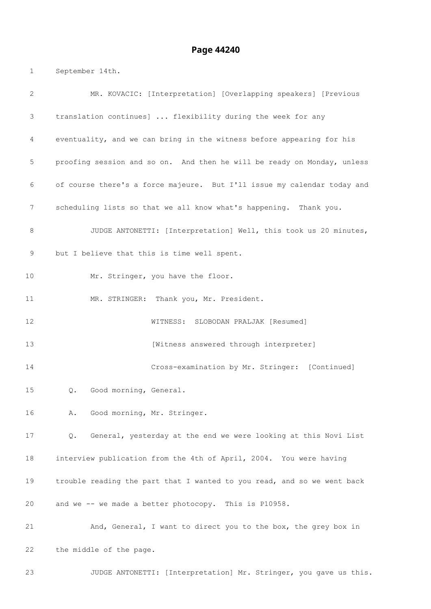### **Page 44240**

September 14th.

| 2  | MR. KOVACIC: [Interpretation] [Overlapping speakers] [Previous          |
|----|-------------------------------------------------------------------------|
| 3  | translation continues]  flexibility during the week for any             |
| 4  | eventuality, and we can bring in the witness before appearing for his   |
| 5  | proofing session and so on. And then he will be ready on Monday, unless |
| 6  | of course there's a force majeure. But I'll issue my calendar today and |
| 7  | scheduling lists so that we all know what's happening. Thank you.       |
| 8  | JUDGE ANTONETTI: [Interpretation] Well, this took us 20 minutes,        |
| 9  | but I believe that this is time well spent.                             |
| 10 | Mr. Stringer, you have the floor.                                       |
| 11 | MR. STRINGER: Thank you, Mr. President.                                 |
| 12 | WITNESS: SLOBODAN PRALJAK [Resumed]                                     |
| 13 | [Witness answered through interpreter]                                  |
| 14 | Cross-examination by Mr. Stringer: [Continued]                          |
| 15 | Good morning, General.<br>Q.                                            |
| 16 | Good morning, Mr. Stringer.<br>Α.                                       |
| 17 | General, yesterday at the end we were looking at this Novi List<br>Q.   |
| 18 | interview publication from the 4th of April, 2004. You were having      |
| 19 | trouble reading the part that I wanted to you read, and so we went back |
| 20 | and we -- we made a better photocopy. This is P10958.                   |
| 21 | And, General, I want to direct you to the box, the grey box in          |
| 22 | the middle of the page.                                                 |
| 23 | JUDGE ANTONETTI: [Interpretation] Mr. Stringer, you gave us this.       |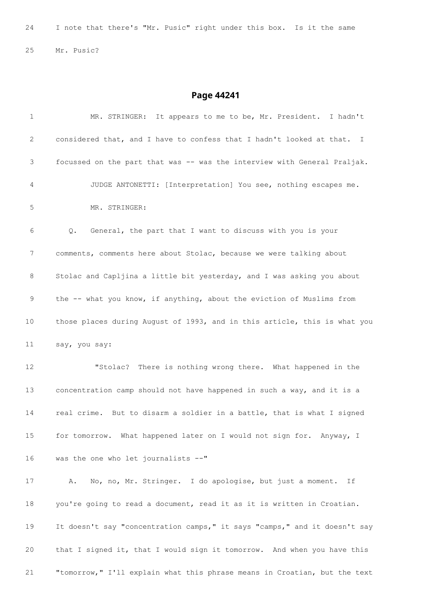I note that there's "Mr. Pusic" right under this box. Is it the same Mr. Pusic?

| $\mathbf{1}$ | MR. STRINGER: It appears to me to be, Mr. President. I hadn't             |
|--------------|---------------------------------------------------------------------------|
| 2            | considered that, and I have to confess that I hadn't looked at that. I    |
| 3            | focussed on the part that was -- was the interview with General Praljak.  |
| 4            | JUDGE ANTONETTI: [Interpretation] You see, nothing escapes me.            |
| 5            | MR. STRINGER:                                                             |
| 6            | General, the part that I want to discuss with you is your<br>Q.           |
| 7            | comments, comments here about Stolac, because we were talking about       |
| 8            | Stolac and Capljina a little bit yesterday, and I was asking you about    |
| 9            | the -- what you know, if anything, about the eviction of Muslims from     |
| 10           | those places during August of 1993, and in this article, this is what you |
| 11           | say, you say:                                                             |
| 12           | "Stolac? There is nothing wrong there. What happened in the               |
| 13           | concentration camp should not have happened in such a way, and it is a    |
| 14           | real crime. But to disarm a soldier in a battle, that is what I signed    |
| 15           | for tomorrow. What happened later on I would not sign for. Anyway, I      |
| 16           | was the one who let journalists --"                                       |
| 17           | No, no, Mr. Stringer. I do apologise, but just a moment.<br>Α.<br>Ιf      |
| 18           | you're going to read a document, read it as it is written in Croatian.    |
| 19           | It doesn't say "concentration camps," it says "camps," and it doesn't say |
| 20           | that I signed it, that I would sign it tomorrow. And when you have this   |
| 21           | "tomorrow," I'll explain what this phrase means in Croatian, but the text |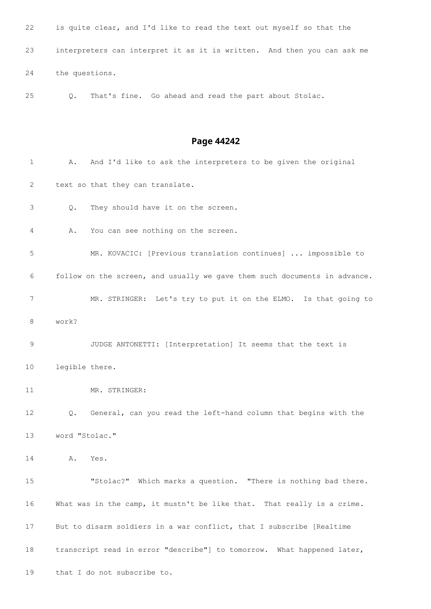is quite clear, and I'd like to read the text out myself so that the interpreters can interpret it as it is written. And then you can ask me the questions.

Q. That's fine. Go ahead and read the part about Stolac.

### **Page 44242**

1 A. And I'd like to ask the interpreters to be given the original text so that they can translate. Q. They should have it on the screen. A. You can see nothing on the screen. MR. KOVACIC: [Previous translation continues] ... impossible to follow on the screen, and usually we gave them such documents in advance. MR. STRINGER: Let's try to put it on the ELMO. Is that going to work? JUDGE ANTONETTI: [Interpretation] It seems that the text is legible there. MR. STRINGER: Q. General, can you read the left-hand column that begins with the word "Stolac." A. Yes. "Stolac?" Which marks a question. "There is nothing bad there. What was in the camp, it mustn't be like that. That really is a crime. But to disarm soldiers in a war conflict, that I subscribe [Realtime transcript read in error "describe"] to tomorrow. What happened later, that I do not subscribe to.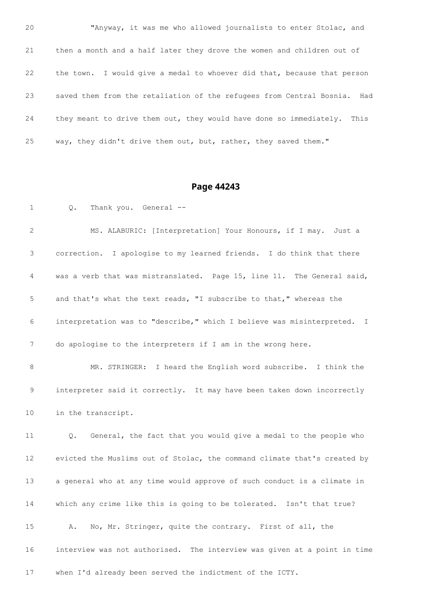"Anyway, it was me who allowed journalists to enter Stolac, and then a month and a half later they drove the women and children out of the town. I would give a medal to whoever did that, because that person saved them from the retaliation of the refugees from Central Bosnia. Had they meant to drive them out, they would have done so immediately. This 25 way, they didn't drive them out, but, rather, they saved them."

### **Page 44243**

Q. Thank you. General --

 MS. ALABURIC: [Interpretation] Your Honours, if I may. Just a correction. I apologise to my learned friends. I do think that there was a verb that was mistranslated. Page 15, line 11. The General said, and that's what the text reads, "I subscribe to that," whereas the interpretation was to "describe," which I believe was misinterpreted. I do apologise to the interpreters if I am in the wrong here.

 MR. STRINGER: I heard the English word subscribe. I think the interpreter said it correctly. It may have been taken down incorrectly in the transcript.

 Q. General, the fact that you would give a medal to the people who evicted the Muslims out of Stolac, the command climate that's created by a general who at any time would approve of such conduct is a climate in which any crime like this is going to be tolerated. Isn't that true? A. No, Mr. Stringer, quite the contrary. First of all, the interview was not authorised. The interview was given at a point in time when I'd already been served the indictment of the ICTY.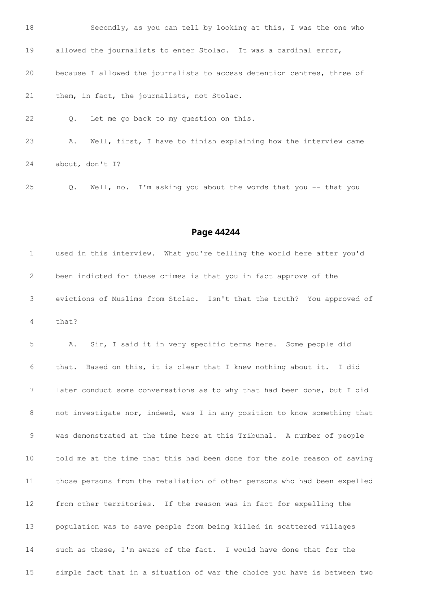

Q. Well, no. I'm asking you about the words that you -- that you

```
Page 44244
```
 used in this interview. What you're telling the world here after you'd been indicted for these crimes is that you in fact approve of the evictions of Muslims from Stolac. Isn't that the truth? You approved of that?

 A. Sir, I said it in very specific terms here. Some people did that. Based on this, it is clear that I knew nothing about it. I did later conduct some conversations as to why that had been done, but I did not investigate nor, indeed, was I in any position to know something that was demonstrated at the time here at this Tribunal. A number of people told me at the time that this had been done for the sole reason of saving those persons from the retaliation of other persons who had been expelled from other territories. If the reason was in fact for expelling the population was to save people from being killed in scattered villages such as these, I'm aware of the fact. I would have done that for the simple fact that in a situation of war the choice you have is between two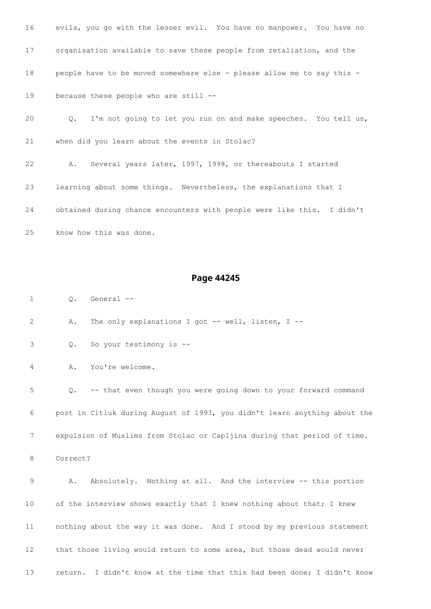evils, you go with the lesser evil. You have no manpower. You have no organisation available to save these people from retaliation, and the people have to be moved somewhere else - please allow me to say this - because these people who are still --

 Q. I'm not going to let you run on and make speeches. You tell us, when did you learn about the events in Stolac? A. Several years later, 1997, 1998, or thereabouts I started

 learning about some things. Nevertheless, the explanations that I obtained during chance encounters with people were like this. I didn't know how this was done.

### **Page 44245**

Q. General --

A. The only explanations I got -- well, listen, I --

Q. So your testimony is --

A. You're welcome.

 Q. -- that even though you were going down to your forward command post in Citluk during August of 1993, you didn't learn anything about the expulsion of Muslims from Stolac or Capljina during that period of time.

Correct?

 A. Absolutely. Nothing at all. And the interview -- this portion 10 of the interview shows exactly that I knew nothing about that; I knew nothing about the way it was done. And I stood by my previous statement that those living would return to some area, but those dead would never return. I didn't know at the time that this had been done; I didn't know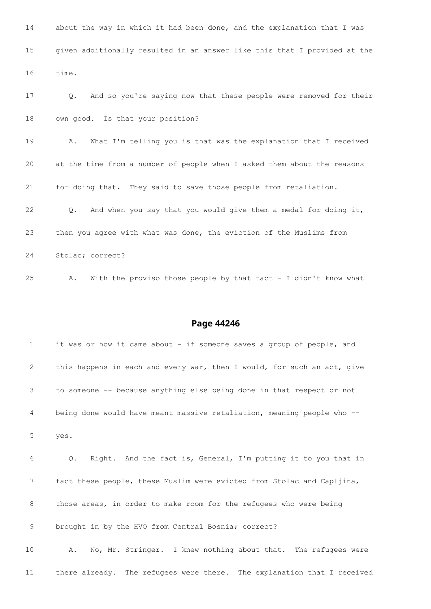| 14 | about the way in which it had been done, and the explanation that I was        |
|----|--------------------------------------------------------------------------------|
| 15 | given additionally resulted in an answer like this that I provided at the      |
| 16 | time.                                                                          |
| 17 | And so you're saying now that these people were removed for their<br>$\circ$ . |
| 18 | own good. Is that your position?                                               |
| 19 | What I'm telling you is that was the explanation that I received<br>Α.         |
| 20 | at the time from a number of people when I asked them about the reasons        |
| 21 | for doing that. They said to save those people from retaliation.               |
| 22 | And when you say that you would give them a medal for doing it,<br>$\circ$ .   |
| 23 | then you agree with what was done, the eviction of the Muslims from            |
| 24 | Stolac; correct?                                                               |
| 25 | With the proviso those people by that tact - I didn't know what<br>Α.          |

| $\mathbf{1}$ | it was or how it came about - if someone saves a group of people, and           |
|--------------|---------------------------------------------------------------------------------|
| $\mathbf{2}$ | this happens in each and every war, then I would, for such an act, give         |
| 3            | to someone -- because anything else being done in that respect or not           |
| 4            | being done would have meant massive retaliation, meaning people who --          |
| 5            | yes.                                                                            |
| 6            | Right. And the fact is, General, I'm putting it to you that in<br>$Q_{\bullet}$ |
| 7            | fact these people, these Muslim were evicted from Stolac and Capljina,          |
| 8            | those areas, in order to make room for the refugees who were being              |
| 9            | brought in by the HVO from Central Bosnia; correct?                             |
| 10           | No, Mr. Stringer. I knew nothing about that. The refugees were<br>Α.            |
| 11           | there already. The refugees were there. The explanation that I received         |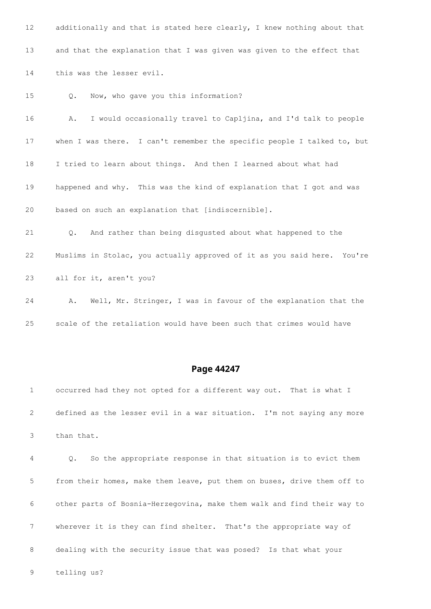12 additionally and that is stated here clearly, I knew nothing about that and that the explanation that I was given was given to the effect that this was the lesser evil. Q. Now, who gave you this information? A. I would occasionally travel to Capljina, and I'd talk to people 17 when I was there. I can't remember the specific people I talked to, but I tried to learn about things. And then I learned about what had happened and why. This was the kind of explanation that I got and was based on such an explanation that [indiscernible]. Q. And rather than being disgusted about what happened to the Muslims in Stolac, you actually approved of it as you said here. You're all for it, aren't you? A. Well, Mr. Stringer, I was in favour of the explanation that the

### **Page 44247**

 occurred had they not opted for a different way out. That is what I defined as the lesser evil in a war situation. I'm not saying any more than that.

scale of the retaliation would have been such that crimes would have

 Q. So the appropriate response in that situation is to evict them from their homes, make them leave, put them on buses, drive them off to other parts of Bosnia-Herzegovina, make them walk and find their way to wherever it is they can find shelter. That's the appropriate way of dealing with the security issue that was posed? Is that what your

telling us?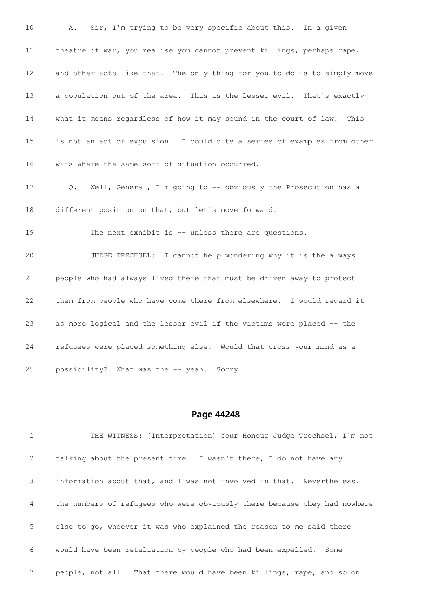A. Sir, I'm trying to be very specific about this. In a given theatre of war, you realise you cannot prevent killings, perhaps rape, and other acts like that. The only thing for you to do is to simply move a population out of the area. This is the lesser evil. That's exactly what it means regardless of how it may sound in the court of law. This is not an act of expulsion. I could cite a series of examples from other wars where the same sort of situation occurred. Q. Well, General, I'm going to -- obviously the Prosecution has a different position on that, but let's move forward. 19 The next exhibit is -- unless there are questions. JUDGE TRECHSEL: I cannot help wondering why it is the always people who had always lived there that must be driven away to protect them from people who have come there from elsewhere. I would regard it as more logical and the lesser evil if the victims were placed -- the refugees were placed something else. Would that cross your mind as a possibility? What was the -- yeah. Sorry.

### **Page 44248**

 THE WITNESS: [Interpretation] Your Honour Judge Trechsel, I'm not talking about the present time. I wasn't there, I do not have any information about that, and I was not involved in that. Nevertheless, the numbers of refugees who were obviously there because they had nowhere else to go, whoever it was who explained the reason to me said there would have been retaliation by people who had been expelled. Some people, not all. That there would have been killings, rape, and so on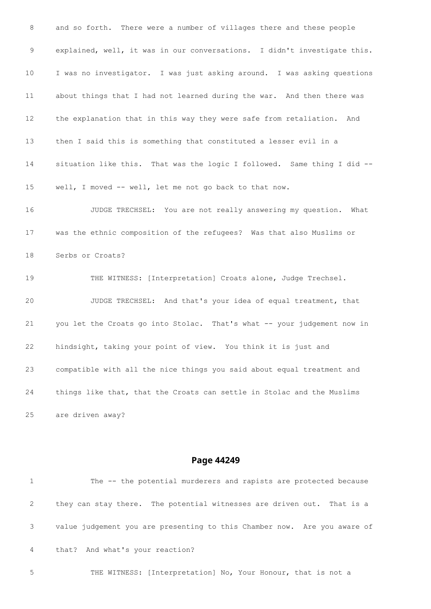and so forth. There were a number of villages there and these people explained, well, it was in our conversations. I didn't investigate this. I was no investigator. I was just asking around. I was asking questions about things that I had not learned during the war. And then there was the explanation that in this way they were safe from retaliation. And then I said this is something that constituted a lesser evil in a situation like this. That was the logic I followed. Same thing I did -- well, I moved -- well, let me not go back to that now. JUDGE TRECHSEL: You are not really answering my question. What was the ethnic composition of the refugees? Was that also Muslims or Serbs or Croats? 19 THE WITNESS: [Interpretation] Croats alone, Judge Trechsel. JUDGE TRECHSEL: And that's your idea of equal treatment, that you let the Croats go into Stolac. That's what -- your judgement now in hindsight, taking your point of view. You think it is just and compatible with all the nice things you said about equal treatment and things like that, that the Croats can settle in Stolac and the Muslims are driven away?

### **Page 44249**

|   | The -- the potential murderers and rapists are protected because         |
|---|--------------------------------------------------------------------------|
| 2 | they can stay there. The potential witnesses are driven out. That is a   |
| 3 | value judgement you are presenting to this Chamber now. Are you aware of |
| 4 | that? And what's your reaction?                                          |
|   |                                                                          |

THE WITNESS: [Interpretation] No, Your Honour, that is not a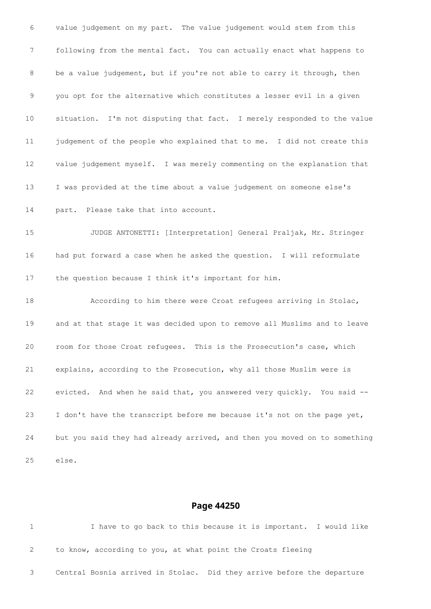value judgement on my part. The value judgement would stem from this following from the mental fact. You can actually enact what happens to 8 be a value judgement, but if you're not able to carry it through, then you opt for the alternative which constitutes a lesser evil in a given situation. I'm not disputing that fact. I merely responded to the value judgement of the people who explained that to me. I did not create this value judgement myself. I was merely commenting on the explanation that I was provided at the time about a value judgement on someone else's part. Please take that into account. JUDGE ANTONETTI: [Interpretation] General Praljak, Mr. Stringer had put forward a case when he asked the question. I will reformulate the question because I think it's important for him. According to him there were Croat refugees arriving in Stolac, and at that stage it was decided upon to remove all Muslims and to leave room for those Croat refugees. This is the Prosecution's case, which explains, according to the Prosecution, why all those Muslim were is evicted. And when he said that, you answered very quickly. You said -- I don't have the transcript before me because it's not on the page yet, but you said they had already arrived, and then you moved on to something else.

|                                                                        |  |  | I have to go back to this because it is important. I would like |  |  |  |
|------------------------------------------------------------------------|--|--|-----------------------------------------------------------------|--|--|--|
| to know, according to you, at what point the Croats fleeing            |  |  |                                                                 |  |  |  |
| Central Bosnia arrived in Stolac. Did they arrive before the departure |  |  |                                                                 |  |  |  |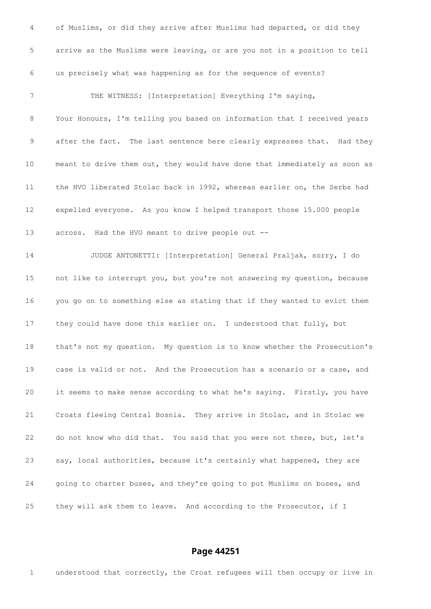| 4           | of Muslims, or did they arrive after Muslims had departed, or did they    |
|-------------|---------------------------------------------------------------------------|
| $\mathsf S$ | arrive as the Muslims were leaving, or are you not in a position to tell  |
| 6           | us precisely what was happening as for the sequence of events?            |
| 7           | THE WITNESS: [Interpretation] Everything I'm saying,                      |
| 8           | Your Honours, I'm telling you based on information that I received years  |
| 9           | after the fact. The last sentence here clearly expresses that. Had they   |
| 10          | meant to drive them out, they would have done that immediately as soon as |
| 11          | the HVO liberated Stolac back in 1992, whereas earlier on, the Serbs had  |
| 12          | expelled everyone. As you know I helped transport those 15.000 people     |
| 13          | across. Had the HVO meant to drive people out --                          |
| 14          | JUDGE ANTONETTI: [Interpretation] General Praljak, sorry, I do            |
| 15          | not like to interrupt you, but you're not answering my question, because  |
| 16          | you go on to something else as stating that if they wanted to evict them  |
| 17          | they could have done this earlier on. I understood that fully, but        |
| 18          | that's not my question. My question is to know whether the Prosecution's  |
| 19          | case is valid or not. And the Prosecution has a scenario or a case, and   |
| 20          | it seems to make sense according to what he's saying. Firstly, you have   |
| 21          | Croats fleeing Central Bosnia. They arrive in Stolac, and in Stolac we    |
| 22          | do not know who did that. You said that you were not there, but, let's    |
| 23          | say, local authorities, because it's certainly what happened, they are    |
| 24          | going to charter buses, and they're going to put Muslims on buses, and    |
| 25          | they will ask them to leave. And according to the Prosecutor, if I        |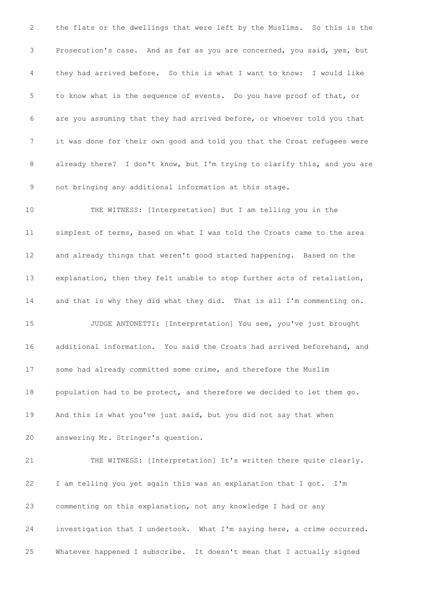the flats or the dwellings that were left by the Muslims. So this is the Prosecution's case. And as far as you are concerned, you said, yes, but they had arrived before. So this is what I want to know: I would like to know what is the sequence of events. Do you have proof of that, or are you assuming that they had arrived before, or whoever told you that it was done for their own good and told you that the Croat refugees were already there? I don't know, but I'm trying to clarify this, and you are not bringing any additional information at this stage. THE WITNESS: [Interpretation] But I am telling you in the simplest of terms, based on what I was told the Croats came to the area and already things that weren't good started happening. Based on the explanation, then they felt unable to stop further acts of retaliation, and that is why they did what they did. That is all I'm commenting on. JUDGE ANTONETTI: [Interpretation] You see, you've just brought additional information. You said the Croats had arrived beforehand, and some had already committed some crime, and therefore the Muslim population had to be protect, and therefore we decided to let them go. And this is what you've just said, but you did not say that when answering Mr. Stringer's question. THE WITNESS: [Interpretation] It's written there quite clearly. I am telling you yet again this was an explanation that I got. I'm commenting on this explanation, not any knowledge I had or any investigation that I undertook. What I'm saying here, a crime occurred.

Whatever happened I subscribe. It doesn't mean that I actually signed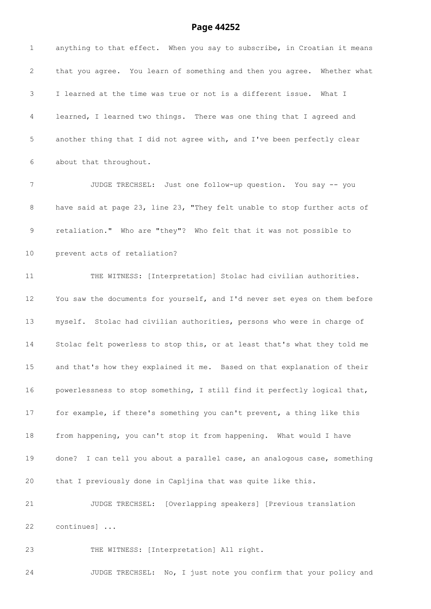## **Page 44252**

| $\mathbf 1$     | anything to that effect. When you say to subscribe, in Croatian it means  |
|-----------------|---------------------------------------------------------------------------|
| 2               | that you agree. You learn of something and then you agree. Whether what   |
| 3               | I learned at the time was true or not is a different issue. What I        |
| 4               | learned, I learned two things. There was one thing that I agreed and      |
| 5               | another thing that I did not agree with, and I've been perfectly clear    |
| 6               | about that throughout.                                                    |
| 7               | JUDGE TRECHSEL: Just one follow-up question. You say -- you               |
| 8               | have said at page 23, line 23, "They felt unable to stop further acts of  |
| 9               | retaliation." Who are "they"? Who felt that it was not possible to        |
| 10 <sub>o</sub> | prevent acts of retaliation?                                              |
| 11              | THE WITNESS: [Interpretation] Stolac had civilian authorities.            |
| 12              | You saw the documents for yourself, and I'd never set eyes on them before |
| 13              | myself. Stolac had civilian authorities, persons who were in charge of    |
| 14              | Stolac felt powerless to stop this, or at least that's what they told me  |
| 15              | and that's how they explained it me. Based on that explanation of their   |
| 16              | powerlessness to stop something, I still find it perfectly logical that,  |
| 17              | for example, if there's something you can't prevent, a thing like this    |
| 18              | from happening, you can't stop it from happening. What would I have       |
| 19              | done? I can tell you about a parallel case, an analogous case, something  |
| 20              | that I previously done in Capljina that was quite like this.              |
| 21              | JUDGE TRECHSEL: [Overlapping speakers] [Previous translation              |
| 22              | continues]                                                                |
| 23              | THE WITNESS: [Interpretation] All right.                                  |
|                 |                                                                           |

JUDGE TRECHSEL: No, I just note you confirm that your policy and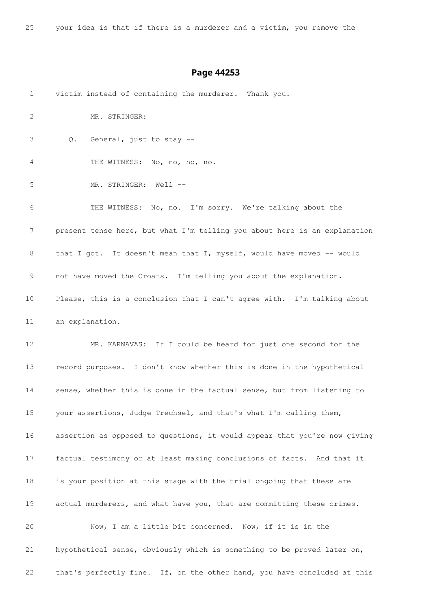your idea is that if there is a murderer and a victim, you remove the

| $\mathbf{1}$ | victim instead of containing the murderer. Thank you.                     |
|--------------|---------------------------------------------------------------------------|
| 2            | MR. STRINGER:                                                             |
| 3            | General, just to stay --<br>Q.                                            |
| 4            | THE WITNESS: No, no, no, no.                                              |
| 5            | MR. STRINGER: Well --                                                     |
| 6            | THE WITNESS: No, no. I'm sorry. We're talking about the                   |
| 7            | present tense here, but what I'm telling you about here is an explanation |
| 8            | that I got. It doesn't mean that I, myself, would have moved -- would     |
| 9            | not have moved the Croats. I'm telling you about the explanation.         |
| 10           | Please, this is a conclusion that I can't agree with. I'm talking about   |
| 11           | an explanation.                                                           |
| 12           | MR. KARNAVAS: If I could be heard for just one second for the             |
| 13           | record purposes. I don't know whether this is done in the hypothetical    |
| 14           | sense, whether this is done in the factual sense, but from listening to   |
| 15           | your assertions, Judge Trechsel, and that's what I'm calling them,        |
| 16           | assertion as opposed to questions, it would appear that you're now giving |
| 17           | factual testimony or at least making conclusions of facts. And that it    |
| 18           | is your position at this stage with the trial ongoing that these are      |
| 19           | actual murderers, and what have you, that are committing these crimes.    |
| 20           | Now, I am a little bit concerned. Now, if it is in the                    |
| 21           | hypothetical sense, obviously which is something to be proved later on,   |
| 22           | that's perfectly fine. If, on the other hand, you have concluded at this  |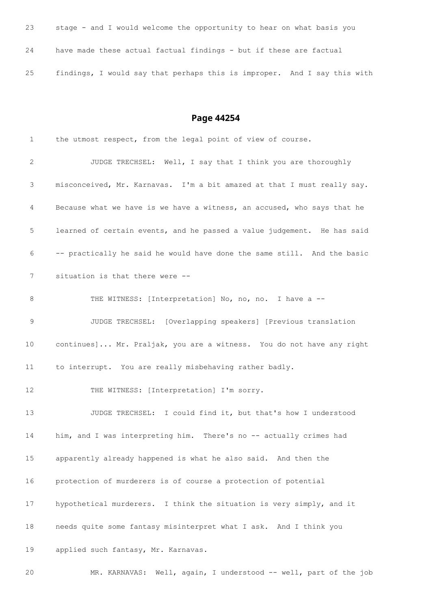| 23 | stage - and I would welcome the opportunity to hear on what basis you    |
|----|--------------------------------------------------------------------------|
| 24 | have made these actual factual findings - but if these are factual       |
| 25 | findings, I would say that perhaps this is improper. And I say this with |

| 1  | the utmost respect, from the legal point of view of course.             |  |  |  |  |  |  |
|----|-------------------------------------------------------------------------|--|--|--|--|--|--|
| 2  | JUDGE TRECHSEL: Well, I say that I think you are thoroughly             |  |  |  |  |  |  |
| 3  | misconceived, Mr. Karnavas. I'm a bit amazed at that I must really say. |  |  |  |  |  |  |
| 4  | Because what we have is we have a witness, an accused, who says that he |  |  |  |  |  |  |
| 5  | learned of certain events, and he passed a value judgement. He has said |  |  |  |  |  |  |
| 6  | -- practically he said he would have done the same still. And the basic |  |  |  |  |  |  |
| 7  | situation is that there were --                                         |  |  |  |  |  |  |
| 8  | THE WITNESS: [Interpretation] No, no, no. I have a --                   |  |  |  |  |  |  |
| 9  | JUDGE TRECHSEL: [Overlapping speakers] [Previous translation            |  |  |  |  |  |  |
| 10 | continues] Mr. Praljak, you are a witness. You do not have any right    |  |  |  |  |  |  |
| 11 | to interrupt. You are really misbehaving rather badly.                  |  |  |  |  |  |  |
| 12 | THE WITNESS: [Interpretation] I'm sorry.                                |  |  |  |  |  |  |
| 13 | JUDGE TRECHSEL: I could find it, but that's how I understood            |  |  |  |  |  |  |
| 14 | him, and I was interpreting him. There's no -- actually crimes had      |  |  |  |  |  |  |
| 15 | apparently already happened is what he also said. And then the          |  |  |  |  |  |  |
| 16 | protection of murderers is of course a protection of potential          |  |  |  |  |  |  |
| 17 | hypothetical murderers. I think the situation is very simply, and it    |  |  |  |  |  |  |
| 18 | needs quite some fantasy misinterpret what I ask. And I think you       |  |  |  |  |  |  |
| 19 | applied such fantasy, Mr. Karnavas.                                     |  |  |  |  |  |  |
| 20 | Well, again, I understood -- well, part of the job<br>MR. KARNAVAS:     |  |  |  |  |  |  |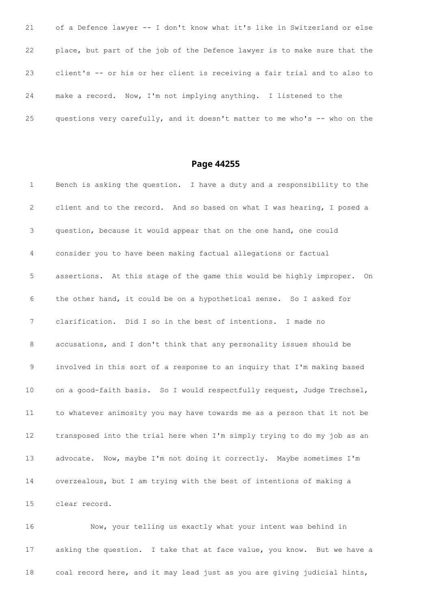of a Defence lawyer -- I don't know what it's like in Switzerland or else place, but part of the job of the Defence lawyer is to make sure that the client's -- or his or her client is receiving a fair trial and to also to make a record. Now, I'm not implying anything. I listened to the questions very carefully, and it doesn't matter to me who's -- who on the

### **Page 44255**

 Bench is asking the question. I have a duty and a responsibility to the client and to the record. And so based on what I was hearing, I posed a question, because it would appear that on the one hand, one could consider you to have been making factual allegations or factual assertions. At this stage of the game this would be highly improper. On the other hand, it could be on a hypothetical sense. So I asked for clarification. Did I so in the best of intentions. I made no accusations, and I don't think that any personality issues should be involved in this sort of a response to an inquiry that I'm making based 10 on a good-faith basis. So I would respectfully request, Judge Trechsel, to whatever animosity you may have towards me as a person that it not be transposed into the trial here when I'm simply trying to do my job as an advocate. Now, maybe I'm not doing it correctly. Maybe sometimes I'm overzealous, but I am trying with the best of intentions of making a clear record.

 Now, your telling us exactly what your intent was behind in asking the question. I take that at face value, you know. But we have a coal record here, and it may lead just as you are giving judicial hints,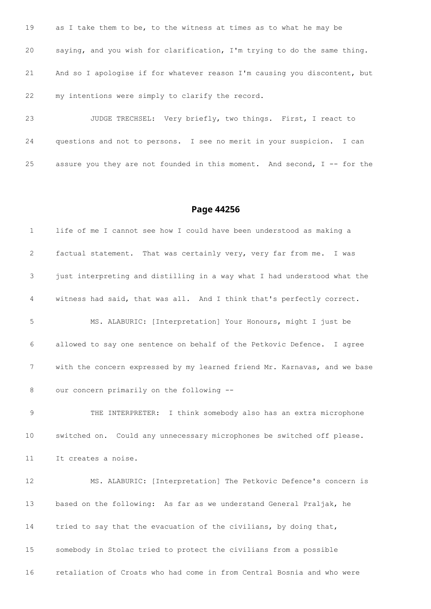19 as I take them to be, to the witness at times as to what he may be saying, and you wish for clarification, I'm trying to do the same thing. And so I apologise if for whatever reason I'm causing you discontent, but my intentions were simply to clarify the record.

 JUDGE TRECHSEL: Very briefly, two things. First, I react to questions and not to persons. I see no merit in your suspicion. I can assure you they are not founded in this moment. And second, I -- for the

#### **Page 44256**

 life of me I cannot see how I could have been understood as making a factual statement. That was certainly very, very far from me. I was just interpreting and distilling in a way what I had understood what the witness had said, that was all. And I think that's perfectly correct. MS. ALABURIC: [Interpretation] Your Honours, might I just be allowed to say one sentence on behalf of the Petkovic Defence. I agree with the concern expressed by my learned friend Mr. Karnavas, and we base our concern primarily on the following -- THE INTERPRETER: I think somebody also has an extra microphone switched on. Could any unnecessary microphones be switched off please. It creates a noise. MS. ALABURIC: [Interpretation] The Petkovic Defence's concern is based on the following: As far as we understand General Praljak, he tried to say that the evacuation of the civilians, by doing that, somebody in Stolac tried to protect the civilians from a possible retaliation of Croats who had come in from Central Bosnia and who were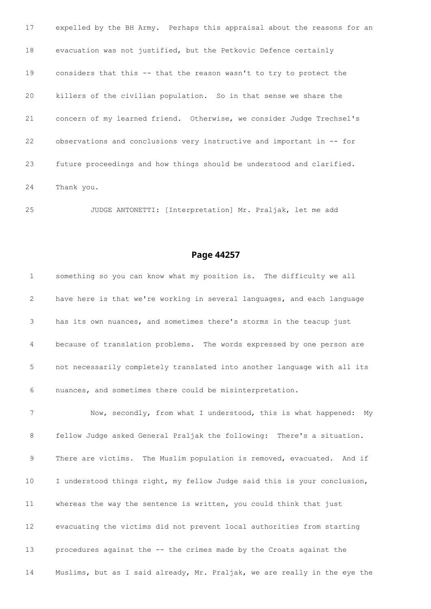expelled by the BH Army. Perhaps this appraisal about the reasons for an evacuation was not justified, but the Petkovic Defence certainly considers that this -- that the reason wasn't to try to protect the killers of the civilian population. So in that sense we share the concern of my learned friend. Otherwise, we consider Judge Trechsel's observations and conclusions very instructive and important in -- for future proceedings and how things should be understood and clarified. Thank you.

JUDGE ANTONETTI: [Interpretation] Mr. Praljak, let me add

#### **Page 44257**

 something so you can know what my position is. The difficulty we all have here is that we're working in several languages, and each language has its own nuances, and sometimes there's storms in the teacup just because of translation problems. The words expressed by one person are not necessarily completely translated into another language with all its nuances, and sometimes there could be misinterpretation.

 Now, secondly, from what I understood, this is what happened: My fellow Judge asked General Praljak the following: There's a situation. There are victims. The Muslim population is removed, evacuated. And if I understood things right, my fellow Judge said this is your conclusion, whereas the way the sentence is written, you could think that just evacuating the victims did not prevent local authorities from starting procedures against the -- the crimes made by the Croats against the Muslims, but as I said already, Mr. Praljak, we are really in the eye the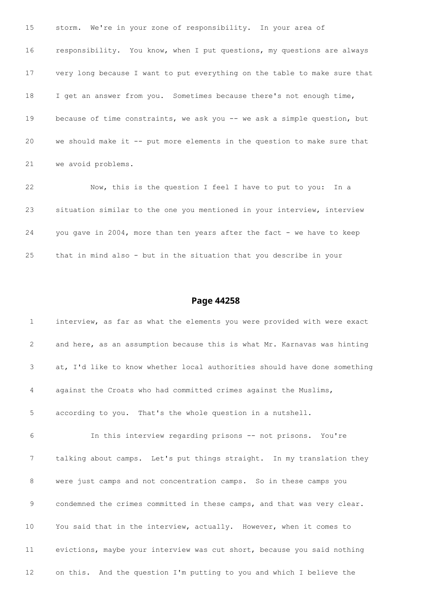| 15 | storm. We're in your zone of responsibility. In your area of              |
|----|---------------------------------------------------------------------------|
| 16 | responsibility. You know, when I put questions, my questions are always   |
| 17 | very long because I want to put everything on the table to make sure that |
| 18 | I get an answer from you. Sometimes because there's not enough time,      |
| 19 | because of time constraints, we ask you -- we ask a simple question, but  |
| 20 | we should make it -- put more elements in the question to make sure that  |
| 21 | we avoid problems.                                                        |
| 22 | Now, this is the question I feel I have to put to you: In a               |
| 23 | situation similar to the one you mentioned in your interview, interview   |

that in mind also - but in the situation that you describe in your

24 you gave in 2004, more than ten years after the fact - we have to keep

| $\mathbf{1}$    | interview, as far as what the elements you were provided with were exact  |
|-----------------|---------------------------------------------------------------------------|
| 2               | and here, as an assumption because this is what Mr. Karnavas was hinting  |
| 3               | at, I'd like to know whether local authorities should have done something |
| 4               | against the Croats who had committed crimes against the Muslims,          |
| 5               | according to you. That's the whole question in a nutshell.                |
| 6               | In this interview regarding prisons -- not prisons. You're                |
| 7               | talking about camps. Let's put things straight. In my translation they    |
| 8               | were just camps and not concentration camps. So in these camps you        |
| 9               | condemned the crimes committed in these camps, and that was very clear.   |
| 10              | You said that in the interview, actually. However, when it comes to       |
| 11              | evictions, maybe your interview was cut short, because you said nothing   |
| 12 <sup>2</sup> | on this. And the question I'm putting to you and which I believe the      |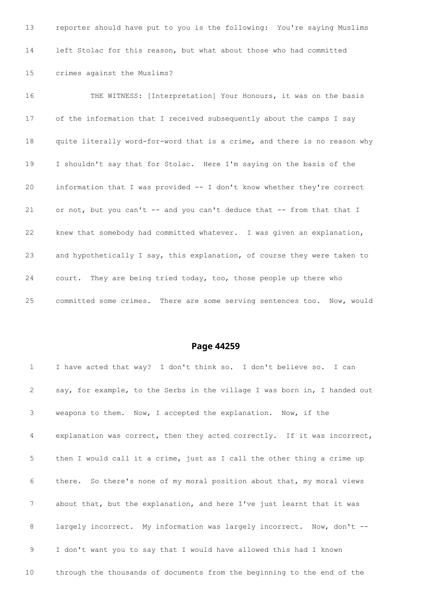reporter should have put to you is the following: You're saying Muslims left Stolac for this reason, but what about those who had committed crimes against the Muslims?

16 THE WITNESS: [Interpretation] Your Honours, it was on the basis of the information that I received subsequently about the camps I say quite literally word-for-word that is a crime, and there is no reason why I shouldn't say that for Stolac. Here I'm saying on the basis of the information that I was provided -- I don't know whether they're correct 21 or not, but you can't -- and you can't deduce that -- from that that I knew that somebody had committed whatever. I was given an explanation, and hypothetically I say, this explanation, of course they were taken to court. They are being tried today, too, those people up there who committed some crimes. There are some serving sentences too. Now, would

| $\mathbf{1}$    | I have acted that way? I don't think so. I don't believe so. I can        |
|-----------------|---------------------------------------------------------------------------|
| 2               | say, for example, to the Serbs in the village I was born in, I handed out |
| 3               | weapons to them. Now, I accepted the explanation. Now, if the             |
| 4               | explanation was correct, then they acted correctly. If it was incorrect,  |
| 5               | then I would call it a crime, just as I call the other thing a crime up   |
| 6               | there. So there's none of my moral position about that, my moral views    |
| $7\phantom{.0}$ | about that, but the explanation, and here I've just learnt that it was    |
| 8               | largely incorrect. My information was largely incorrect. Now, don't --    |
| 9               | I don't want you to say that I would have allowed this had I known        |
| 10 <sub>o</sub> | through the thousands of documents from the beginning to the end of the   |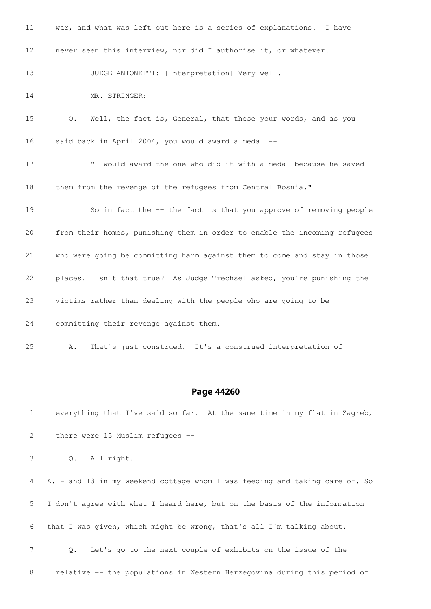| 11              | war, and what was left out here is a series of explanations. I have            |
|-----------------|--------------------------------------------------------------------------------|
| 12 <sup>°</sup> | never seen this interview, nor did I authorise it, or whatever.                |
| 13              | JUDGE ANTONETTI: [Interpretation] Very well.                                   |
| 14              | MR. STRINGER:                                                                  |
| 15              | Well, the fact is, General, that these your words, and as you<br>$Q_{\bullet}$ |
| 16              | said back in April 2004, you would award a medal --                            |
| 17              | "I would award the one who did it with a medal because he saved                |
| 18              | them from the revenge of the refugees from Central Bosnia."                    |
| 19              | So in fact the -- the fact is that you approve of removing people              |
| 20              | from their homes, punishing them in order to enable the incoming refugees      |
| 21              | who were going be committing harm against them to come and stay in those       |
| 22              | places. Isn't that true? As Judge Trechsel asked, you're punishing the         |
| 23              | victims rather than dealing with the people who are going to be                |
| 24              | committing their revenge against them.                                         |
| 25              | That's just construed. It's a construed interpretation of<br>Α.                |

### **Page 44260**

 everything that I've said so far. At the same time in my flat in Zagreb, there were 15 Muslim refugees --

Q. All right.

 A. – and 13 in my weekend cottage whom I was feeding and taking care of. So I don't agree with what I heard here, but on the basis of the information that I was given, which might be wrong, that's all I'm talking about. Q. Let's go to the next couple of exhibits on the issue of the relative -- the populations in Western Herzegovina during this period of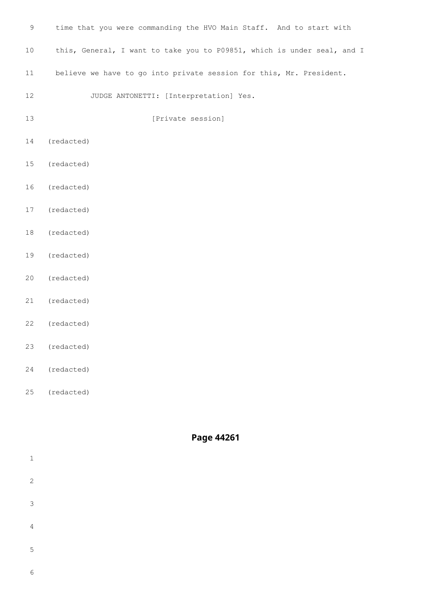| $\mathsf 9$ | time that you were commanding the HVO Main Staff. And to start with     |
|-------------|-------------------------------------------------------------------------|
| $10$        | this, General, I want to take you to P09851, which is under seal, and I |
| 11          | believe we have to go into private session for this, Mr. President.     |
| 12          | JUDGE ANTONETTI: [Interpretation] Yes.                                  |
| 13          | [Private session]                                                       |
| 14          | (redacted)                                                              |
| 15          | (redacted)                                                              |
| 16          | (redacted)                                                              |
| 17          | (redacted)                                                              |
| 18          | (redacted)                                                              |
| 19          | (redacted)                                                              |
| 20          | (redacted)                                                              |
| 21          | (redacted)                                                              |
| 22          | (redacted)                                                              |
| 23          | (redacted)                                                              |
| 24          | (redacted)                                                              |

(redacted)

| Page 44261 |  |
|------------|--|
|------------|--|

| $1\,$          |  |  |  |
|----------------|--|--|--|
| 2              |  |  |  |
| $\mathcal{S}$  |  |  |  |
| $\overline{4}$ |  |  |  |
| $\mathsf S$    |  |  |  |
| $\epsilon$     |  |  |  |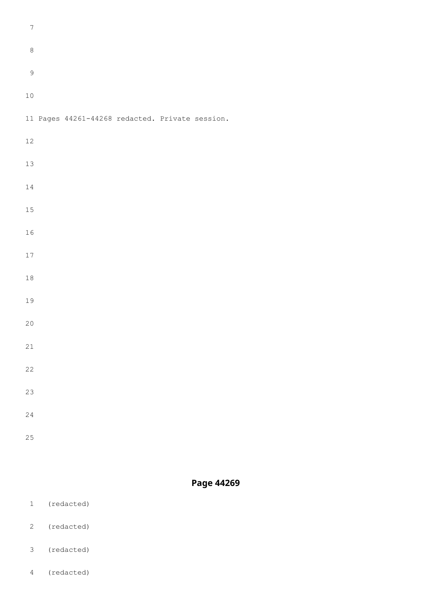- (redacted)
- (redacted)
- 
- (redacted)
- (redacted)

| $\boldsymbol{7}$ |                                                 |  |  |  |
|------------------|-------------------------------------------------|--|--|--|
| $\,8\,$          |                                                 |  |  |  |
| $\mathsf 9$      |                                                 |  |  |  |
| $1\,0$           |                                                 |  |  |  |
|                  | 11 Pages 44261-44268 redacted. Private session. |  |  |  |
| $12\,$           |                                                 |  |  |  |
| $13\,$           |                                                 |  |  |  |
| $1\,4$           |                                                 |  |  |  |
| $15\,$           |                                                 |  |  |  |
| $1\,6$           |                                                 |  |  |  |
| $17\,$           |                                                 |  |  |  |
| $1\,8$           |                                                 |  |  |  |
| 19               |                                                 |  |  |  |
| $20$             |                                                 |  |  |  |
| $21$             |                                                 |  |  |  |
| $2\sqrt{2}$      |                                                 |  |  |  |
| 23               |                                                 |  |  |  |
| $2\,4$           |                                                 |  |  |  |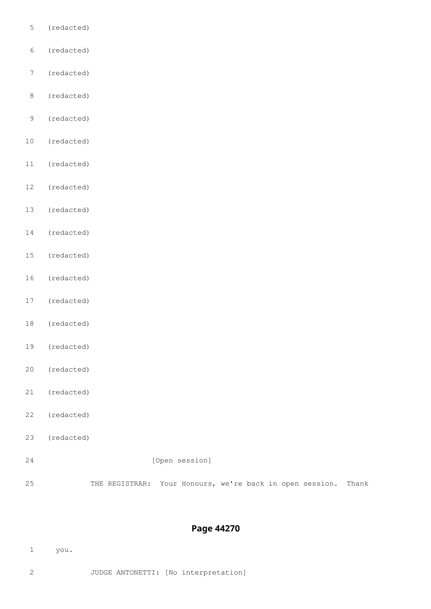- (redacted)
- (redacted)
- (redacted)
- (redacted)
- (redacted)
- (redacted)
- (redacted)
- (redacted)
- (redacted)
- (redacted)
- (redacted)
- (redacted)
- (redacted)
- (redacted)
- (redacted)
- (redacted)
- (redacted)
- (redacted)
- (redacted)
- [Open session]

THE REGISTRAR: Your Honours, we're back in open session. Thank

- you.
- JUDGE ANTONETTI: [No interpretation]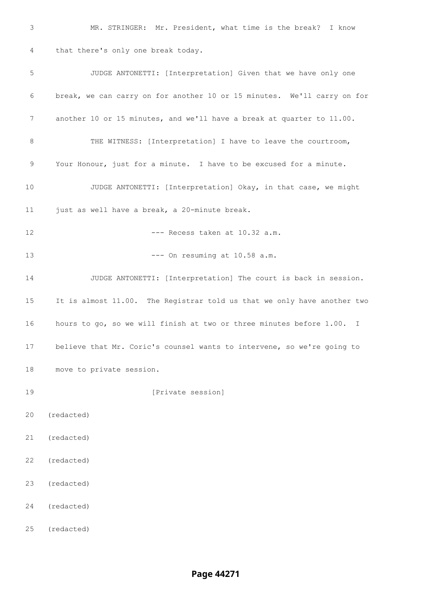MR. STRINGER: Mr. President, what time is the break? I know that there's only one break today. JUDGE ANTONETTI: [Interpretation] Given that we have only one break, we can carry on for another 10 or 15 minutes. We'll carry on for another 10 or 15 minutes, and we'll have a break at quarter to 11.00. 8 THE WITNESS: [Interpretation] I have to leave the courtroom, Your Honour, just for a minute. I have to be excused for a minute. JUDGE ANTONETTI: [Interpretation] Okay, in that case, we might just as well have a break, a 20-minute break. 12 --- Recess taken at 10.32 a.m. 13 --- On resuming at 10.58 a.m. JUDGE ANTONETTI: [Interpretation] The court is back in session. It is almost 11.00. The Registrar told us that we only have another two hours to go, so we will finish at two or three minutes before 1.00. I believe that Mr. Coric's counsel wants to intervene, so we're going to move to private session. *Definition* [Private session] (redacted) (redacted) (redacted) (redacted) (redacted) (redacted)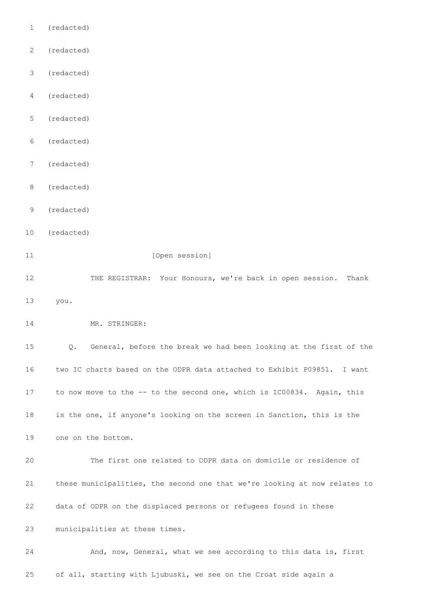- (redacted)
- (redacted)
- (redacted)
- (redacted)
- (redacted)
- (redacted)
- (redacted)
- (redacted)
- (redacted)
- (redacted)

#### 11 [Open session]

 THE REGISTRAR: Your Honours, we're back in open session. Thank you.

14 MR. STRINGER:

 Q. General, before the break we had been looking at the first of the two IC charts based on the ODPR data attached to Exhibit P09851. I want to now move to the -- to the second one, which is IC00834. Again, this is the one, if anyone's looking on the screen in Sanction, this is the

one on the bottom.

 The first one related to ODPR data on domicile or residence of these municipalities, the second one that we're looking at now relates to data of ODPR on the displaced persons or refugees found in these municipalities at these times.

 And, now, General, what we see according to this data is, first of all, starting with Ljubuski, we see on the Croat side again a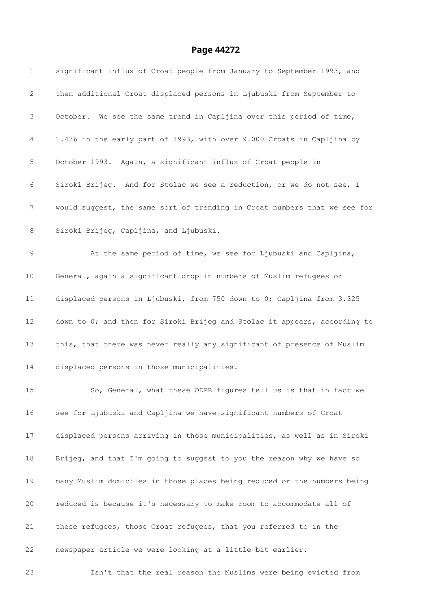| $\mathbf 1$     | significant influx of Croat people from January to September 1993, and    |
|-----------------|---------------------------------------------------------------------------|
| $\mathbf{2}$    | then additional Croat displaced persons in Ljubuski from September to     |
| 3               | October. We see the same trend in Capljina over this period of time,      |
| 4               | 1.436 in the early part of 1993, with over 9.000 Croats in Capljina by    |
| 5               | October 1993. Again, a significant influx of Croat people in              |
| 6               | Siroki Brijeg. And for Stolac we see a reduction, or we do not see, I     |
| 7               | would suggest, the same sort of trending in Croat numbers that we see for |
| $\,8\,$         | Siroki Brijeg, Capljina, and Ljubuski.                                    |
| 9               | At the same period of time, we see for Ljubuski and Capljina,             |
| 10              | General, again a significant drop in numbers of Muslim refugees or        |
| 11              | displaced persons in Ljubuski, from 750 down to 0; Capljina from 3.325    |
| 12 <sup>°</sup> | down to 0; and then for Siroki Brijeg and Stolac it appears, according to |
| 13              | this, that there was never really any significant of presence of Muslim   |
| 14              | displaced persons in those municipalities.                                |
| 15              | So, General, what these ODPR figures tell us is that in fact we           |
| 16              | see for Ljubuski and Capljina we have significant numbers of Croat        |
| 17              | displaced persons arriving in those municipalities, as well as in Siroki  |
| 18              | Brijeg, and that I'm going to suggest to you the reason why we have so    |
| 19              | many Muslim domiciles in those places being reduced or the numbers being  |
| 20              | reduced is because it's necessary to make room to accommodate all of      |
| 21              | these refugees, those Croat refugees, that you referred to in the         |
| 22              | newspaper article we were looking at a little bit earlier.                |
| 23              | Isn't that the real reason the Muslims were being evicted from            |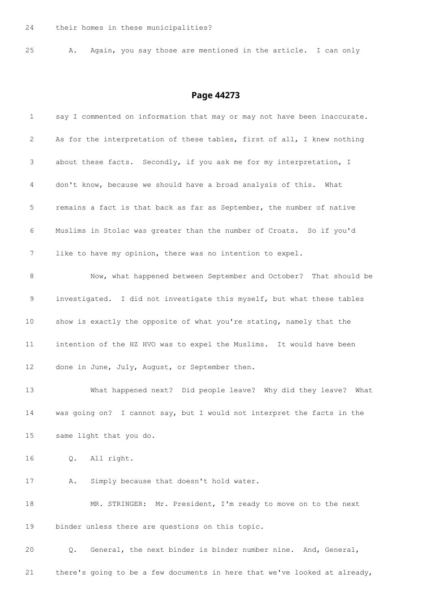A. Again, you say those are mentioned in the article. I can only

| $\mathbf 1$  | say I commented on information that may or may not have been inaccurate.  |
|--------------|---------------------------------------------------------------------------|
| $\mathbf{2}$ | As for the interpretation of these tables, first of all, I knew nothing   |
| 3            | about these facts. Secondly, if you ask me for my interpretation, I       |
| 4            | don't know, because we should have a broad analysis of this. What         |
| 5            | remains a fact is that back as far as September, the number of native     |
| 6            | Muslims in Stolac was greater than the number of Croats. So if you'd      |
| 7            | like to have my opinion, there was no intention to expel.                 |
| $\,8\,$      | Now, what happened between September and October? That should be          |
| $\mathsf 9$  | investigated. I did not investigate this myself, but what these tables    |
| 10           | show is exactly the opposite of what you're stating, namely that the      |
| 11           | intention of the HZ HVO was to expel the Muslims. It would have been      |
| 12           | done in June, July, August, or September then.                            |
| 13           | What happened next? Did people leave? Why did they leave? What            |
| 14           | was going on? I cannot say, but I would not interpret the facts in the    |
| 15           | same light that you do.                                                   |
| 16           | All right.<br>Q.                                                          |
| 17           | Simply because that doesn't hold water.<br>Α.                             |
| 18           | MR. STRINGER: Mr. President, I'm ready to move on to the next             |
| 19           | binder unless there are questions on this topic.                          |
| 20           | General, the next binder is binder number nine. And, General,<br>Q.       |
| 21           | there's going to be a few documents in here that we've looked at already, |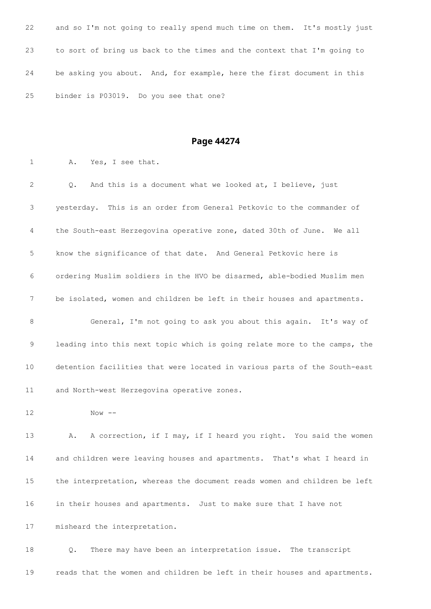| 22 | and so I'm not going to really spend much time on them. It's mostly just |
|----|--------------------------------------------------------------------------|
| 23 | to sort of bring us back to the times and the context that I'm going to  |
| 24 | be asking you about. And, for example, here the first document in this   |
| 25 | binder is P03019. Do you see that one?                                   |

A. Yes, I see that.

 Q. And this is a document what we looked at, I believe, just yesterday. This is an order from General Petkovic to the commander of the South-east Herzegovina operative zone, dated 30th of June. We all know the significance of that date. And General Petkovic here is ordering Muslim soldiers in the HVO be disarmed, able-bodied Muslim men be isolated, women and children be left in their houses and apartments. General, I'm not going to ask you about this again. It's way of leading into this next topic which is going relate more to the camps, the detention facilities that were located in various parts of the South-east and North-west Herzegovina operative zones. Now  $-$ 13 A. A correction, if I may, if I heard you right. You said the women and children were leaving houses and apartments. That's what I heard in the interpretation, whereas the document reads women and children be left

in their houses and apartments. Just to make sure that I have not

misheard the interpretation.

 Q. There may have been an interpretation issue. The transcript reads that the women and children be left in their houses and apartments.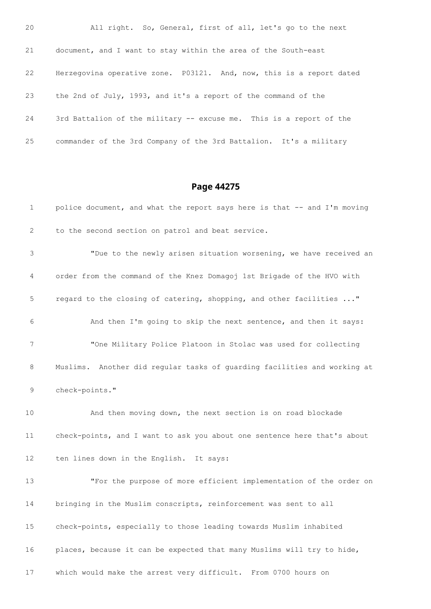| 20 | All right. So, General, first of all, let's go to the next           |
|----|----------------------------------------------------------------------|
| 21 | document, and I want to stay within the area of the South-east       |
| 22 | Herzegovina operative zone. P03121. And, now, this is a report dated |
| 23 | the 2nd of July, 1993, and it's a report of the command of the       |
| 24 | 3rd Battalion of the military -- excuse me. This is a report of the  |
| 25 | commander of the 3rd Company of the 3rd Battalion. It's a military   |

| $\mathbf 1$ | police document, and what the report says here is that -- and I'm moving |
|-------------|--------------------------------------------------------------------------|
| 2           | to the second section on patrol and beat service.                        |
| 3           | "Due to the newly arisen situation worsening, we have received an        |
| 4           | order from the command of the Knez Domagoj 1st Brigade of the HVO with   |
| 5           | regard to the closing of catering, shopping, and other facilities "      |
| 6           | And then I'm going to skip the next sentence, and then it says:          |
| 7           | "One Military Police Platoon in Stolac was used for collecting           |
| 8           | Muslims. Another did regular tasks of guarding facilities and working at |
| 9           | check-points."                                                           |
| 10          | And then moving down, the next section is on road blockade               |
| 11          | check-points, and I want to ask you about one sentence here that's about |
| 12          | ten lines down in the English. It says:                                  |
| 13          | "For the purpose of more efficient implementation of the order on        |
| 14          | bringing in the Muslim conscripts, reinforcement was sent to all         |
| 15          | check-points, especially to those leading towards Muslim inhabited       |
| 16          | places, because it can be expected that many Muslims will try to hide,   |
| 17          | which would make the arrest very difficult. From 0700 hours on           |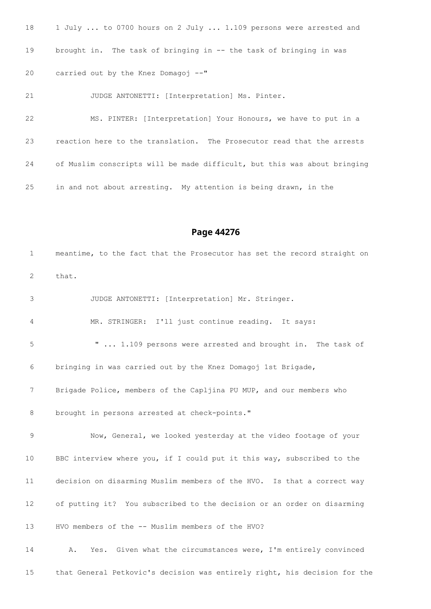18 1 July ... to 0700 hours on 2 July ... 1.109 persons were arrested and brought in. The task of bringing in -- the task of bringing in was carried out by the Knez Domagoj --"

JUDGE ANTONETTI: [Interpretation] Ms. Pinter.

 MS. PINTER: [Interpretation] Your Honours, we have to put in a reaction here to the translation. The Prosecutor read that the arrests of Muslim conscripts will be made difficult, but this was about bringing in and not about arresting. My attention is being drawn, in the

**Page 44276**

 meantime, to the fact that the Prosecutor has set the record straight on that. JUDGE ANTONETTI: [Interpretation] Mr. Stringer. MR. STRINGER: I'll just continue reading. It says: " ... 1.109 persons were arrested and brought in. The task of bringing in was carried out by the Knez Domagoj 1st Brigade, Brigade Police, members of the Capljina PU MUP, and our members who 8 brought in persons arrested at check-points." Now, General, we looked yesterday at the video footage of your BBC interview where you, if I could put it this way, subscribed to the decision on disarming Muslim members of the HVO. Is that a correct way of putting it? You subscribed to the decision or an order on disarming HVO members of the -- Muslim members of the HVO? A. Yes. Given what the circumstances were, I'm entirely convinced

that General Petkovic's decision was entirely right, his decision for the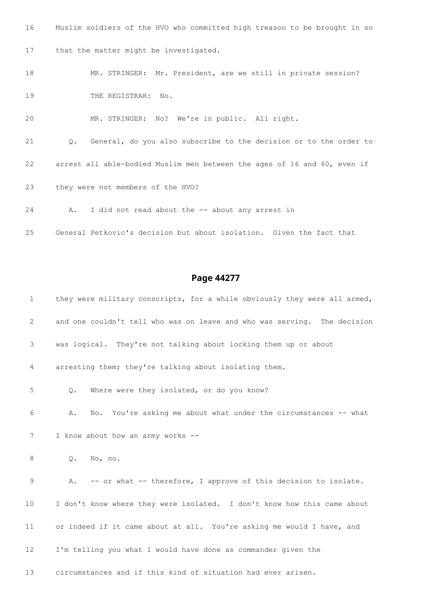Muslim soldiers of the HVO who committed high treason to be brought in so that the matter might be investigated. MR. STRINGER: Mr. President, are we still in private session? 19 THE REGISTRAR: No. MR. STRINGER: No? We're in public. All right. Q. General, do you also subscribe to the decision or to the order to arrest all able-bodied Muslim men between the ages of 16 and 60, even if they were not members of the HVO? A. I did not read about the -- about any arrest in

General Petkovic's decision but about isolation. Given the fact that

#### **Page 44277**

1 they were military conscripts, for a while obviously they were all armed, and one couldn't tell who was on leave and who was serving. The decision was logical. They're not talking about locking them up or about arresting them; they're talking about isolating them. Q. Where were they isolated, or do you know? A. No. You're asking me about what under the circumstances -- what 7 I know about how an army works -- Q. No, no. A. -- or what -- therefore, I approve of this decision to isolate. I don't know where they were isolated. I don't know how this came about or indeed if it came about at all. You're asking me would I have, and I'm telling you what I would have done as commander given the circumstances and if this kind of situation had ever arisen.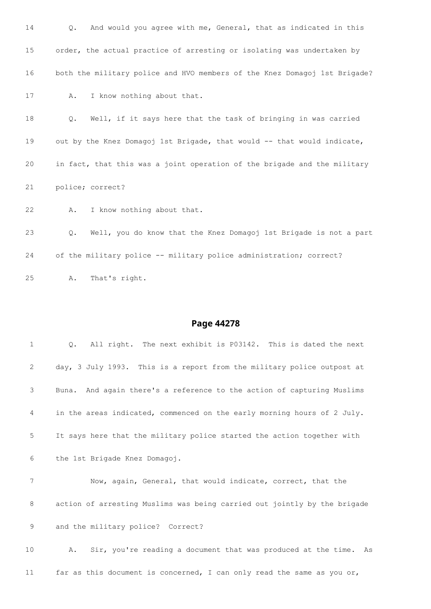| 14 | And would you agree with me, General, that as indicated in this<br>Q.     |
|----|---------------------------------------------------------------------------|
| 15 | order, the actual practice of arresting or isolating was undertaken by    |
| 16 | both the military police and HVO members of the Knez Domagoj 1st Brigade? |
| 17 | I know nothing about that.<br>Α.                                          |
| 18 | Well, if it says here that the task of bringing in was carried<br>Q.      |
| 19 | out by the Knez Domagoj 1st Brigade, that would -- that would indicate,   |
| 20 | in fact, that this was a joint operation of the brigade and the military  |
| 21 | police; correct?                                                          |
| 22 | I know nothing about that.<br>Α.                                          |
| 23 | Well, you do know that the Knez Domagoj 1st Brigade is not a part<br>Q.   |
| 24 | of the military police -- military police administration; correct?        |
| 25 | That's right.<br>Α.                                                       |

| $\mathbf{1}$ | All right. The next exhibit is P03142. This is dated the next<br>0.      |
|--------------|--------------------------------------------------------------------------|
| 2            | day, 3 July 1993. This is a report from the military police outpost at   |
| 3            | Buna. And again there's a reference to the action of capturing Muslims   |
| 4            | in the areas indicated, commenced on the early morning hours of 2 July.  |
| 5            | It says here that the military police started the action together with   |
| 6            | the 1st Brigade Knez Domagoj.                                            |
| 7            | Now, again, General, that would indicate, correct, that the              |
| 8            | action of arresting Muslims was being carried out jointly by the brigade |
| $\mathsf 9$  | and the military police? Correct?                                        |
| 10           | Sir, you're reading a document that was produced at the time. As<br>Α.   |
| 11           | far as this document is concerned, I can only read the same as you or,   |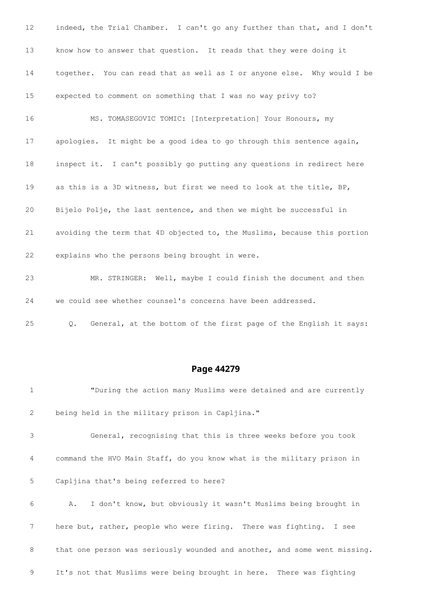| 12 | indeed, the Trial Chamber. I can't go any further than that, and I don't |
|----|--------------------------------------------------------------------------|
| 13 | know how to answer that question. It reads that they were doing it       |
| 14 | together. You can read that as well as I or anyone else. Why would I be  |
| 15 | expected to comment on something that I was no way privy to?             |
| 16 | MS. TOMASEGOVIC TOMIC: [Interpretation] Your Honours, my                 |
| 17 | apologies. It might be a good idea to go through this sentence again,    |
| 18 | inspect it. I can't possibly go putting any questions in redirect here   |
| 19 | as this is a 3D witness, but first we need to look at the title, BP,     |
| 20 | Bijelo Polje, the last sentence, and then we might be successful in      |
| 21 | avoiding the term that 4D objected to, the Muslims, because this portion |
| 22 | explains who the persons being brought in were.                          |
| 23 | MR. STRINGER: Well, maybe I could finish the document and then           |
| 24 | we could see whether counsel's concerns have been addressed.             |

Q. General, at the bottom of the first page of the English it says:

#### **Page 44279**

 "During the action many Muslims were detained and are currently being held in the military prison in Capljina." General, recognising that this is three weeks before you took command the HVO Main Staff, do you know what is the military prison in Capljina that's being referred to here? A. I don't know, but obviously it wasn't Muslims being brought in here but, rather, people who were firing. There was fighting. I see 8 that one person was seriously wounded and another, and some went missing. It's not that Muslims were being brought in here. There was fighting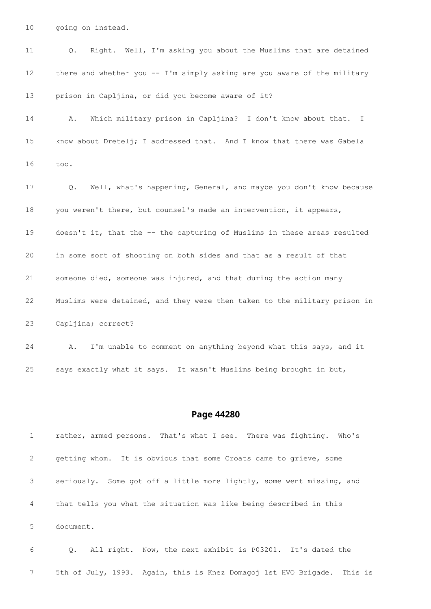going on instead.

| 11 | Right. Well, I'm asking you about the Muslims that are detained<br>Q.          |
|----|--------------------------------------------------------------------------------|
| 12 | there and whether you -- I'm simply asking are you aware of the military       |
| 13 | prison in Capljina, or did you become aware of it?                             |
| 14 | Which military prison in Capljina? I don't know about that. I<br>Α.            |
| 15 | know about Dretelj; I addressed that. And I know that there was Gabela         |
| 16 | too.                                                                           |
| 17 | Well, what's happening, General, and maybe you don't know because<br>$\circ$ . |
| 18 | you weren't there, but counsel's made an intervention, it appears,             |
| 19 | doesn't it, that the -- the capturing of Muslims in these areas resulted       |
| 20 | in some sort of shooting on both sides and that as a result of that            |
| 21 | someone died, someone was injured, and that during the action many             |
| 22 | Muslims were detained, and they were then taken to the military prison in      |
| 23 | Capljina; correct?                                                             |
| 24 | I'm unable to comment on anything beyond what this says, and it<br>Α.          |

says exactly what it says. It wasn't Muslims being brought in but,

#### **Page 44280**

 rather, armed persons. That's what I see. There was fighting. Who's getting whom. It is obvious that some Croats came to grieve, some seriously. Some got off a little more lightly, some went missing, and that tells you what the situation was like being described in this document.

 Q. All right. Now, the next exhibit is P03201. It's dated the 5th of July, 1993. Again, this is Knez Domagoj 1st HVO Brigade. This is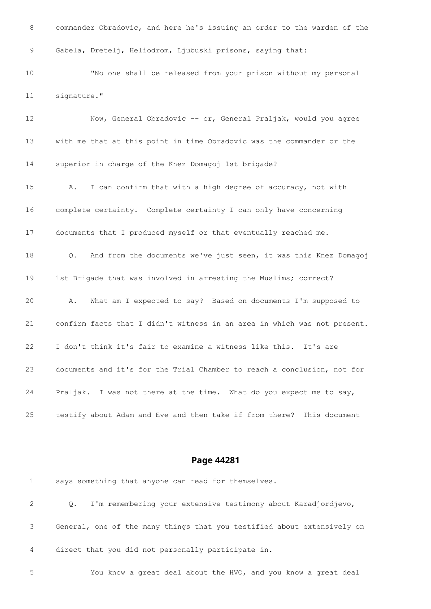commander Obradovic, and here he's issuing an order to the warden of the Gabela, Dretelj, Heliodrom, Ljubuski prisons, saying that: "No one shall be released from your prison without my personal signature." Now, General Obradovic -- or, General Praljak, would you agree with me that at this point in time Obradovic was the commander or the superior in charge of the Knez Domagoj 1st brigade? A. I can confirm that with a high degree of accuracy, not with complete certainty. Complete certainty I can only have concerning documents that I produced myself or that eventually reached me. Q. And from the documents we've just seen, it was this Knez Domagoj 1st Brigade that was involved in arresting the Muslims; correct? A. What am I expected to say? Based on documents I'm supposed to confirm facts that I didn't witness in an area in which was not present. I don't think it's fair to examine a witness like this. It's are documents and it's for the Trial Chamber to reach a conclusion, not for Praljak. I was not there at the time. What do you expect me to say, testify about Adam and Eve and then take if from there? This document

| 1  | says something that anyone can read for themselves.                        |
|----|----------------------------------------------------------------------------|
| 2  | I'm remembering your extensive testimony about Karadjordjevo,<br>$\circ$ . |
| 3  | General, one of the many things that you testified about extensively on    |
| 4  | direct that you did not personally participate in.                         |
| -5 | You know a great deal about the HVO, and you know a great deal             |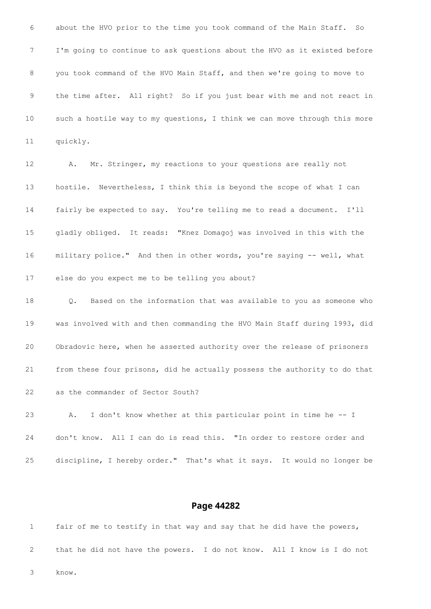about the HVO prior to the time you took command of the Main Staff. So I'm going to continue to ask questions about the HVO as it existed before you took command of the HVO Main Staff, and then we're going to move to the time after. All right? So if you just bear with me and not react in such a hostile way to my questions, I think we can move through this more quickly.

 A. Mr. Stringer, my reactions to your questions are really not hostile. Nevertheless, I think this is beyond the scope of what I can fairly be expected to say. You're telling me to read a document. I'll gladly obliged. It reads: "Knez Domagoj was involved in this with the military police." And then in other words, you're saying -- well, what else do you expect me to be telling you about?

 Q. Based on the information that was available to you as someone who was involved with and then commanding the HVO Main Staff during 1993, did Obradovic here, when he asserted authority over the release of prisoners from these four prisons, did he actually possess the authority to do that as the commander of Sector South?

 A. I don't know whether at this particular point in time he -- I don't know. All I can do is read this. "In order to restore order and discipline, I hereby order." That's what it says. It would no longer be

|   | fair of me to testify in that way and say that he did have the powers,   |  |  |  |  |  |  |  |  |  |  |
|---|--------------------------------------------------------------------------|--|--|--|--|--|--|--|--|--|--|
|   | 2 that he did not have the powers. I do not know. All I know is I do not |  |  |  |  |  |  |  |  |  |  |
| 3 | know.                                                                    |  |  |  |  |  |  |  |  |  |  |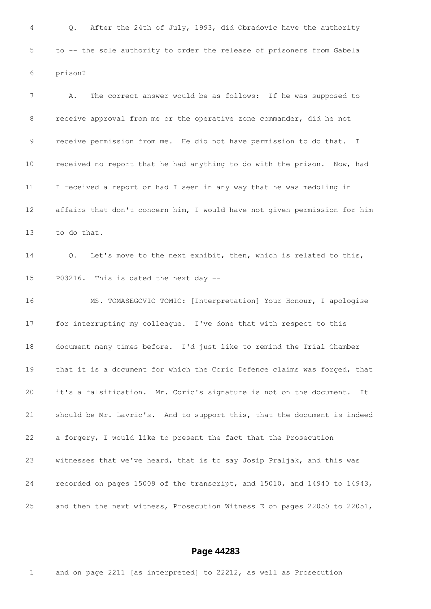Q. After the 24th of July, 1993, did Obradovic have the authority to -- the sole authority to order the release of prisoners from Gabela prison? A. The correct answer would be as follows: If he was supposed to receive approval from me or the operative zone commander, did he not receive permission from me. He did not have permission to do that. I received no report that he had anything to do with the prison. Now, had I received a report or had I seen in any way that he was meddling in affairs that don't concern him, I would have not given permission for him to do that. Q. Let's move to the next exhibit, then, which is related to this, P03216. This is dated the next day -- MS. TOMASEGOVIC TOMIC: [Interpretation] Your Honour, I apologise for interrupting my colleague. I've done that with respect to this document many times before. I'd just like to remind the Trial Chamber that it is a document for which the Coric Defence claims was forged, that it's a falsification. Mr. Coric's signature is not on the document. It should be Mr. Lavric's. And to support this, that the document is indeed a forgery, I would like to present the fact that the Prosecution witnesses that we've heard, that is to say Josip Praljak, and this was recorded on pages 15009 of the transcript, and 15010, and 14940 to 14943, and then the next witness, Prosecution Witness E on pages 22050 to 22051,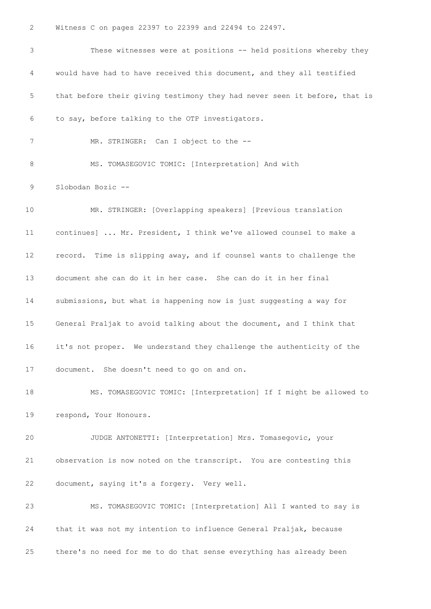Witness C on pages 22397 to 22399 and 22494 to 22497.

 These witnesses were at positions -- held positions whereby they would have had to have received this document, and they all testified that before their giving testimony they had never seen it before, that is to say, before talking to the OTP investigators. 7 MR. STRINGER: Can I object to the --8 MS. TOMASEGOVIC TOMIC: [Interpretation] And with Slobodan Bozic -- MR. STRINGER: [Overlapping speakers] [Previous translation continues] ... Mr. President, I think we've allowed counsel to make a record. Time is slipping away, and if counsel wants to challenge the document she can do it in her case. She can do it in her final submissions, but what is happening now is just suggesting a way for General Praljak to avoid talking about the document, and I think that it's not proper. We understand they challenge the authenticity of the document. She doesn't need to go on and on. MS. TOMASEGOVIC TOMIC: [Interpretation] If I might be allowed to respond, Your Honours. JUDGE ANTONETTI: [Interpretation] Mrs. Tomasegovic, your observation is now noted on the transcript. You are contesting this document, saying it's a forgery. Very well. MS. TOMASEGOVIC TOMIC: [Interpretation] All I wanted to say is that it was not my intention to influence General Praljak, because there's no need for me to do that sense everything has already been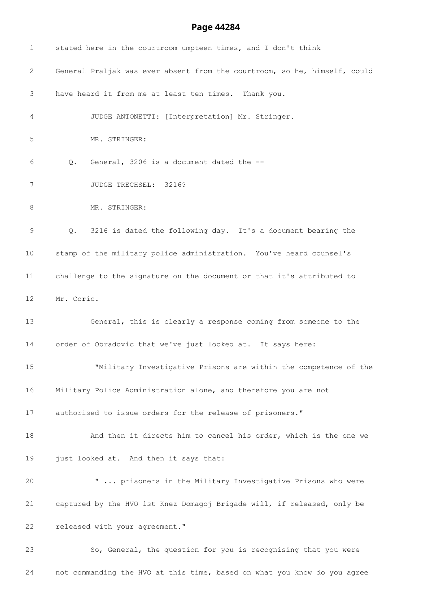| $\mathbf 1$     | stated here in the courtroom umpteen times, and I don't think                 |
|-----------------|-------------------------------------------------------------------------------|
| 2               | General Praljak was ever absent from the courtroom, so he, himself, could     |
| 3               | have heard it from me at least ten times. Thank you.                          |
| 4               | JUDGE ANTONETTI: [Interpretation] Mr. Stringer.                               |
| 5               | MR. STRINGER:                                                                 |
| 6               | General, 3206 is a document dated the --<br>$Q$ .                             |
| 7               | JUDGE TRECHSEL: 3216?                                                         |
| 8               | MR. STRINGER:                                                                 |
| 9               | 3216 is dated the following day. It's a document bearing the<br>$Q_{\bullet}$ |
| 10 <sub>1</sub> | stamp of the military police administration. You've heard counsel's           |
| 11              | challenge to the signature on the document or that it's attributed to         |
| 12              | Mr. Coric.                                                                    |
| 13              | General, this is clearly a response coming from someone to the                |
| 14              | order of Obradovic that we've just looked at. It says here:                   |
| 15              | "Military Investigative Prisons are within the competence of the              |
| 16              | Military Police Administration alone, and therefore you are not               |
| 17              | authorised to issue orders for the release of prisoners."                     |
| 18              | And then it directs him to cancel his order, which is the one we              |
| 19              | just looked at. And then it says that:                                        |
| 20              | "  prisoners in the Military Investigative Prisons who were                   |
| 21              | captured by the HVO 1st Knez Domagoj Brigade will, if released, only be       |
| 22              | released with your agreement."                                                |
| 23              | So, General, the question for you is recognising that you were                |
|                 |                                                                               |

not commanding the HVO at this time, based on what you know do you agree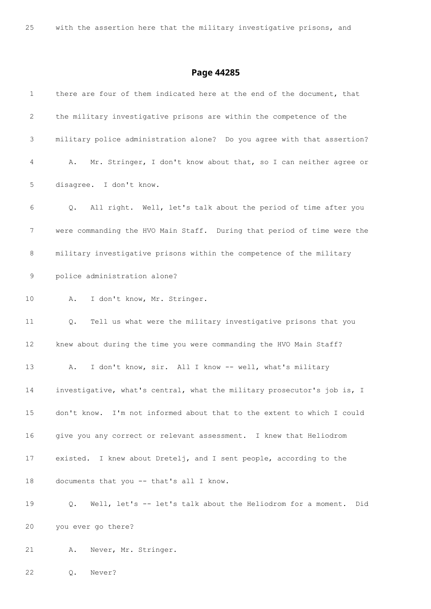| $\mathbf{1}$  | there are four of them indicated here at the end of the document, that   |
|---------------|--------------------------------------------------------------------------|
| 2             | the military investigative prisons are within the competence of the      |
| 3             | military police administration alone? Do you agree with that assertion?  |
| 4             | Mr. Stringer, I don't know about that, so I can neither agree or<br>A.   |
| $\mathsf S$   | disagree. I don't know.                                                  |
| 6             | All right. Well, let's talk about the period of time after you<br>Q.     |
| 7             | were commanding the HVO Main Staff. During that period of time were the  |
| 8             | military investigative prisons within the competence of the military     |
| $\mathcal{G}$ | police administration alone?                                             |
| 10            | I don't know, Mr. Stringer.<br>Α.                                        |
| 11            | Tell us what were the military investigative prisons that you<br>Q.      |
| 12            | knew about during the time you were commanding the HVO Main Staff?       |
| 13            | I don't know, sir. All I know -- well, what's military<br>Α.             |
| 14            | investigative, what's central, what the military prosecutor's job is, I  |
| 15            | don't know. I'm not informed about that to the extent to which I could   |
| 16            | give you any correct or relevant assessment. I knew that Heliodrom       |
| 17            | existed. I knew about Dretelj, and I sent people, according to the       |
| 18            | documents that you -- that's all I know.                                 |
| 19            | Well, let's -- let's talk about the Heliodrom for a moment.<br>Q.<br>Did |
| 20            | you ever go there?                                                       |
| 21            | Never, Mr. Stringer.<br>Α.                                               |

Q. Never?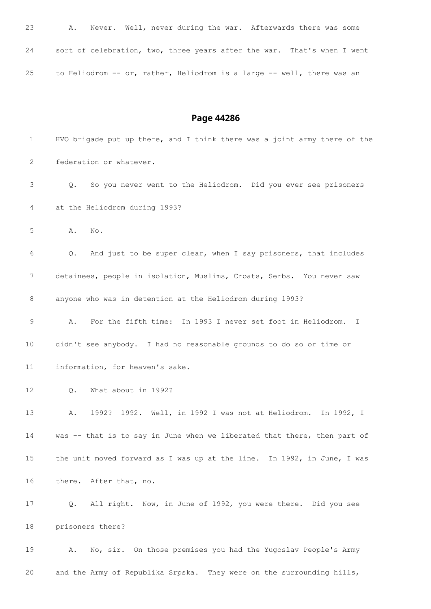| 23 | Α. | Never. Well, never during the war. Afterwards there was some            |  |  |  |  |  |
|----|----|-------------------------------------------------------------------------|--|--|--|--|--|
| 24 |    | sort of celebration, two, three years after the war. That's when I went |  |  |  |  |  |
| 25 |    | to Heliodrom -- or, rather, Heliodrom is a large -- well, there was an  |  |  |  |  |  |

| 1                 | HVO brigade put up there, and I think there was a joint army there of the |
|-------------------|---------------------------------------------------------------------------|
| 2                 | federation or whatever.                                                   |
| 3                 | So you never went to the Heliodrom. Did you ever see prisoners<br>Q.      |
| 4                 | at the Heliodrom during 1993?                                             |
| 5                 | No.<br>Α.                                                                 |
| 6                 | And just to be super clear, when I say prisoners, that includes<br>Q.     |
| 7                 | detainees, people in isolation, Muslims, Croats, Serbs. You never saw     |
| 8                 | anyone who was in detention at the Heliodrom during 1993?                 |
| 9                 | For the fifth time: In 1993 I never set foot in Heliodrom. I<br>Α.        |
| 10                | didn't see anybody. I had no reasonable grounds to do so or time or       |
| 11                | information, for heaven's sake.                                           |
| $12 \overline{ }$ | What about in 1992?<br>Q.                                                 |
| 13                | 1992? 1992. Well, in 1992 I was not at Heliodrom.<br>In 1992, I<br>Α.     |
| 14                | was -- that is to say in June when we liberated that there, then part of  |
| 15                | the unit moved forward as I was up at the line. In 1992, in June, I was   |
| 16                | there. After that, no.                                                    |
| 17                | All right. Now, in June of 1992, you were there. Did you see<br>Q.        |
| 18                | prisoners there?                                                          |
| 19                | No, sir. On those premises you had the Yugoslav People's Army<br>Α.       |
| 20                | and the Army of Republika Srpska. They were on the surrounding hills,     |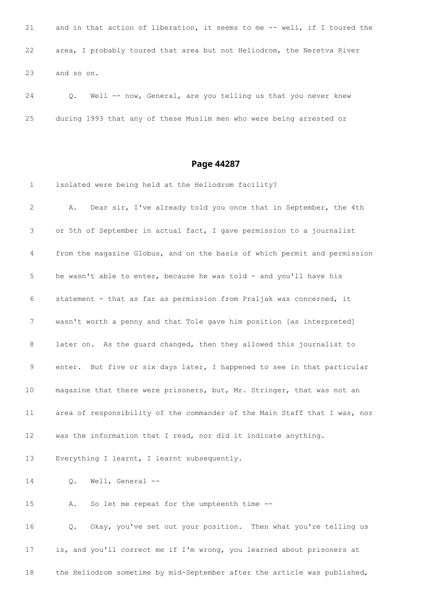21 and in that action of liberation, it seems to me -- well, if I toured the area, I probably toured that area but not Heliodrom, the Neretva River and so on.

24 Q. Well -- now, General, are you telling us that you never knew during 1993 that any of these Muslim men who were being arrested or

#### **Page 44287**

 isolated were being held at the Heliodrom facility? A. Dear sir, I've already told you once that in September, the 4th or 5th of September in actual fact, I gave permission to a journalist from the magazine Globus, and on the basis of which permit and permission he wasn't able to enter, because he was told - and you'll have his statement - that as far as permission from Praljak was concerned, it wasn't worth a penny and that Tole gave him position [as interpreted] later on. As the guard changed, then they allowed this journalist to enter. But five or six days later, I happened to see in that particular magazine that there were prisoners, but, Mr. Stringer, that was not an area of responsibility of the commander of the Main Staff that I was, nor was the information that I read, nor did it indicate anything. Everything I learnt, I learnt subsequently. Q. Well, General -- A. So let me repeat for the umpteenth time -- Q. Okay, you've set out your position. Then what you're telling us is, and you'll correct me if I'm wrong, you learned about prisoners at the Heliodrom sometime by mid-September after the article was published,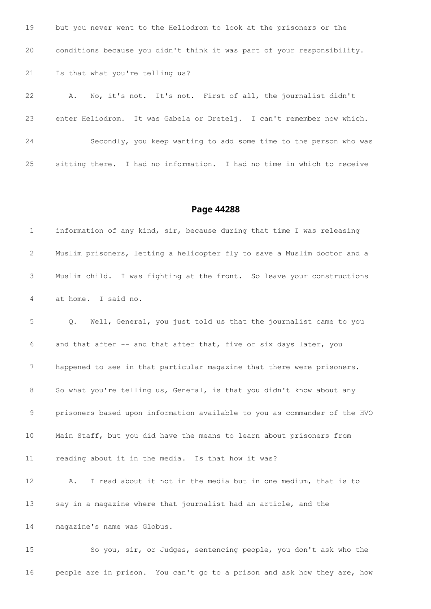| 19  | but you never went to the Heliodrom to look at the prisoners or the     |
|-----|-------------------------------------------------------------------------|
| 20  | conditions because you didn't think it was part of your responsibility. |
| 21  | Is that what you're telling us?                                         |
| 22  | No, it's not. It's not. First of all, the journalist didn't<br>Α.       |
| 23  | enter Heliodrom. It was Gabela or Dretelj. I can't remember now which.  |
| 24  | Secondly, you keep wanting to add some time to the person who was       |
| 2.5 | sitting there. I had no information. I had no time in which to receive  |

 information of any kind, sir, because during that time I was releasing Muslim prisoners, letting a helicopter fly to save a Muslim doctor and a Muslim child. I was fighting at the front. So leave your constructions at home. I said no. Q. Well, General, you just told us that the journalist came to you and that after -- and that after that, five or six days later, you happened to see in that particular magazine that there were prisoners. So what you're telling us, General, is that you didn't know about any prisoners based upon information available to you as commander of the HVO Main Staff, but you did have the means to learn about prisoners from reading about it in the media. Is that how it was? A. I read about it not in the media but in one medium, that is to say in a magazine where that journalist had an article, and the magazine's name was Globus. So you, sir, or Judges, sentencing people, you don't ask who the

people are in prison. You can't go to a prison and ask how they are, how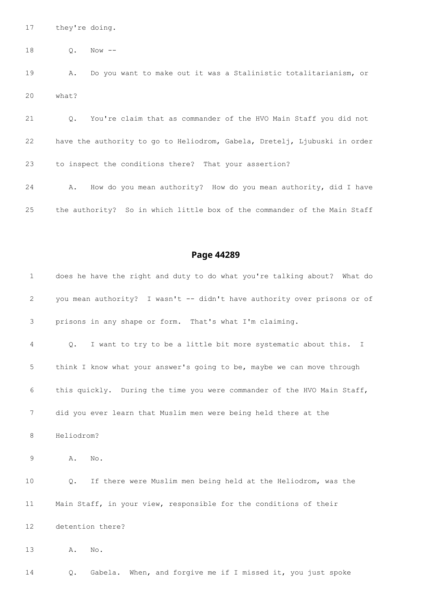they're doing.

Q. Now --

 A. Do you want to make out it was a Stalinistic totalitarianism, or what?

 Q. You're claim that as commander of the HVO Main Staff you did not have the authority to go to Heliodrom, Gabela, Dretelj, Ljubuski in order to inspect the conditions there? That your assertion?

 A. How do you mean authority? How do you mean authority, did I have the authority? So in which little box of the commander of the Main Staff

| $\mathbf 1$ |            | does he have the right and duty to do what you're talking about? What do |
|-------------|------------|--------------------------------------------------------------------------|
| 2           |            | you mean authority? I wasn't -- didn't have authority over prisons or of |
| 3           |            | prisons in any shape or form. That's what I'm claiming.                  |
| 4           | Q.         | I want to try to be a little bit more systematic about this.<br>T        |
| 5           |            | think I know what your answer's going to be, maybe we can move through   |
| 6           |            | this quickly. During the time you were commander of the HVO Main Staff,  |
| 7           |            | did you ever learn that Muslim men were being held there at the          |
| 8           | Heliodrom? |                                                                          |
| 9           | Α.         | No.                                                                      |
| 10          | $Q$ .      | If there were Muslim men being held at the Heliodrom, was the            |
| 11          |            | Main Staff, in your view, responsible for the conditions of their        |
| 12          |            | detention there?                                                         |
| 13          | Α.         | No.                                                                      |
| 14          | $Q$ .      | When, and forgive me if I missed it, you just spoke<br>Gabela.           |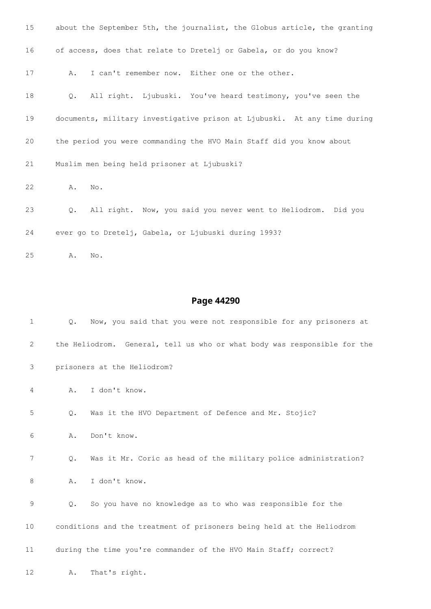| 15 | about the September 5th, the journalist, the Globus article, the granting      |
|----|--------------------------------------------------------------------------------|
| 16 | of access, does that relate to Dretelj or Gabela, or do you know?              |
| 17 | I can't remember now. Either one or the other.<br>Α.                           |
| 18 | Q. All right. Ljubuski. You've heard testimony, you've seen the                |
| 19 | documents, military investigative prison at Ljubuski. At any time during       |
| 20 | the period you were commanding the HVO Main Staff did you know about           |
| 21 | Muslim men being held prisoner at Ljubuski?                                    |
| 22 | Α.<br>No.                                                                      |
| 23 | All right. Now, you said you never went to Heliodrom. Did you<br>$Q_{\bullet}$ |
| 24 | ever go to Dretelj, Gabela, or Ljubuski during 1993?                           |

A. No.

| 1              | $Q$ . | Now, you said that you were not responsible for any prisoners at         |
|----------------|-------|--------------------------------------------------------------------------|
| $\overline{2}$ |       | the Heliodrom. General, tell us who or what body was responsible for the |
| 3              |       | prisoners at the Heliodrom?                                              |
| 4              | Α.    | I don't know.                                                            |
| 5              | $Q$ . | Was it the HVO Department of Defence and Mr. Stojic?                     |
| 6              | Α.    | Don't know.                                                              |
| 7              | $Q$ . | Was it Mr. Coric as head of the military police administration?          |
| 8              | Α.    | I don't know.                                                            |
| 9              | $Q$ . | So you have no knowledge as to who was responsible for the               |
| 10             |       | conditions and the treatment of prisoners being held at the Heliodrom    |
| 11             |       | during the time you're commander of the HVO Main Staff; correct?         |
| 12             | Α.    | That's right.                                                            |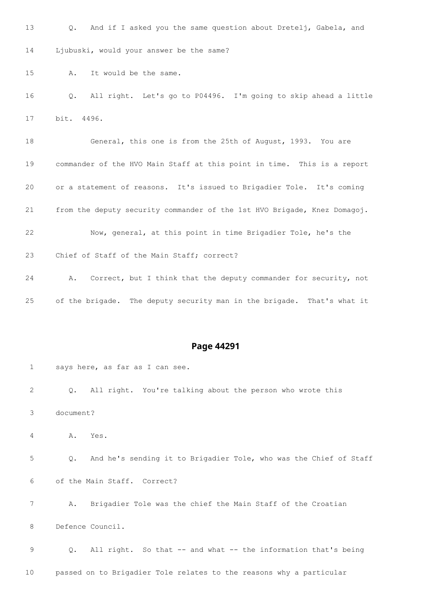Q. And if I asked you the same question about Dretelj, Gabela, and Ljubuski, would your answer be the same? A. It would be the same. Q. All right. Let's go to P04496. I'm going to skip ahead a little bit. 4496. General, this one is from the 25th of August, 1993. You are commander of the HVO Main Staff at this point in time. This is a report or a statement of reasons. It's issued to Brigadier Tole. It's coming from the deputy security commander of the 1st HVO Brigade, Knez Domagoj. Now, general, at this point in time Brigadier Tole, he's the Chief of Staff of the Main Staff; correct? A. Correct, but I think that the deputy commander for security, not of the brigade. The deputy security man in the brigade. That's what it

#### **Page 44291**

 says here, as far as I can see. Q. All right. You're talking about the person who wrote this document? A. Yes. Q. And he's sending it to Brigadier Tole, who was the Chief of Staff of the Main Staff. Correct? A. Brigadier Tole was the chief the Main Staff of the Croatian Defence Council. 9 Q. All right. So that -- and what -- the information that's being passed on to Brigadier Tole relates to the reasons why a particular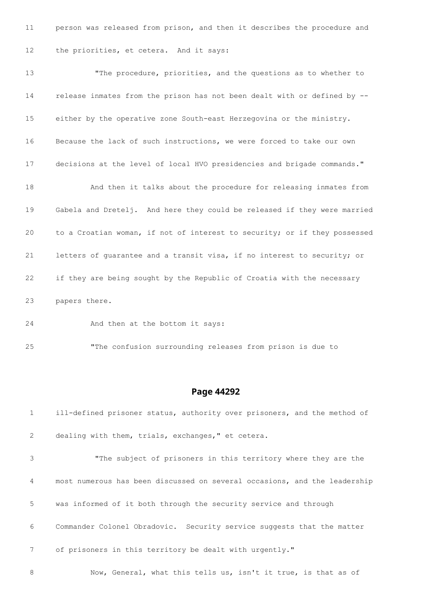person was released from prison, and then it describes the procedure and the priorities, et cetera. And it says:

13 The procedure, priorities, and the questions as to whether to release inmates from the prison has not been dealt with or defined by -- either by the operative zone South-east Herzegovina or the ministry. Because the lack of such instructions, we were forced to take our own decisions at the level of local HVO presidencies and brigade commands." And then it talks about the procedure for releasing inmates from Gabela and Dretelj. And here they could be released if they were married to a Croatian woman, if not of interest to security; or if they possessed letters of guarantee and a transit visa, if no interest to security; or if they are being sought by the Republic of Croatia with the necessary papers there.

And then at the bottom it says:

"The confusion surrounding releases from prison is due to

#### **Page 44292**

 ill-defined prisoner status, authority over prisoners, and the method of dealing with them, trials, exchanges," et cetera. "The subject of prisoners in this territory where they are the most numerous has been discussed on several occasions, and the leadership was informed of it both through the security service and through Commander Colonel Obradovic. Security service suggests that the matter of prisoners in this territory be dealt with urgently." 8 Now, General, what this tells us, isn't it true, is that as of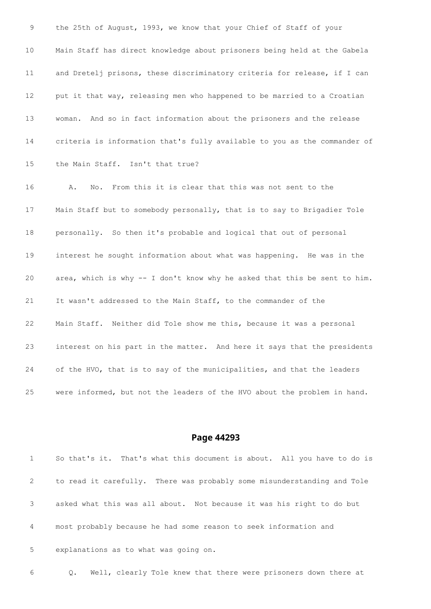the 25th of August, 1993, we know that your Chief of Staff of your Main Staff has direct knowledge about prisoners being held at the Gabela and Dretelj prisons, these discriminatory criteria for release, if I can put it that way, releasing men who happened to be married to a Croatian woman. And so in fact information about the prisoners and the release criteria is information that's fully available to you as the commander of the Main Staff. Isn't that true? A. No. From this it is clear that this was not sent to the Main Staff but to somebody personally, that is to say to Brigadier Tole personally. So then it's probable and logical that out of personal interest he sought information about what was happening. He was in the area, which is why -- I don't know why he asked that this be sent to him. It wasn't addressed to the Main Staff, to the commander of the Main Staff. Neither did Tole show me this, because it was a personal interest on his part in the matter. And here it says that the presidents of the HVO, that is to say of the municipalities, and that the leaders were informed, but not the leaders of the HVO about the problem in hand.

#### **Page 44293**

 So that's it. That's what this document is about. All you have to do is to read it carefully. There was probably some misunderstanding and Tole asked what this was all about. Not because it was his right to do but most probably because he had some reason to seek information and explanations as to what was going on.

Q. Well, clearly Tole knew that there were prisoners down there at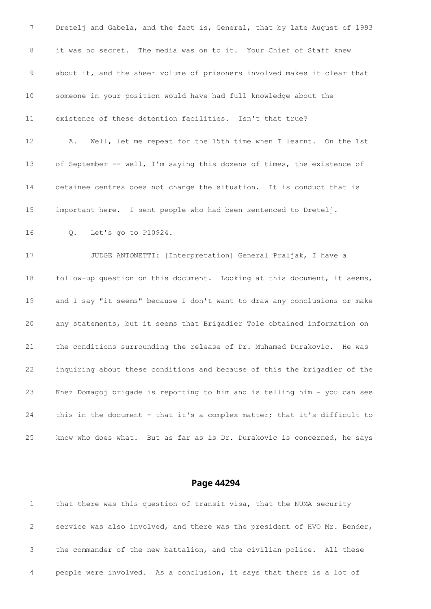7 Dretelj and Gabela, and the fact is, General, that by late August of 1993 it was no secret. The media was on to it. Your Chief of Staff knew about it, and the sheer volume of prisoners involved makes it clear that someone in your position would have had full knowledge about the existence of these detention facilities. Isn't that true? A. Well, let me repeat for the 15th time when I learnt. On the 1st of September -- well, I'm saying this dozens of times, the existence of detainee centres does not change the situation. It is conduct that is important here. I sent people who had been sentenced to Dretelj. Q. Let's go to P10924. JUDGE ANTONETTI: [Interpretation] General Praljak, I have a follow-up question on this document. Looking at this document, it seems, and I say "it seems" because I don't want to draw any conclusions or make any statements, but it seems that Brigadier Tole obtained information on the conditions surrounding the release of Dr. Muhamed Durakovic. He was inquiring about these conditions and because of this the brigadier of the Knez Domagoj brigade is reporting to him and is telling him - you can see this in the document - that it's a complex matter; that it's difficult to know who does what. But as far as is Dr. Durakovic is concerned, he says

|   | that there was this question of transit visa, that the NUMA security      |
|---|---------------------------------------------------------------------------|
| 2 | service was also involved, and there was the president of HVO Mr. Bender, |
|   | the commander of the new battalion, and the civilian police. All these    |
| 4 | people were involved. As a conclusion, it says that there is a lot of     |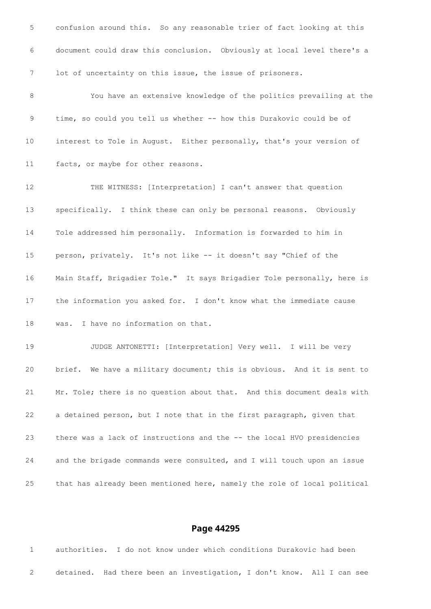confusion around this. So any reasonable trier of fact looking at this document could draw this conclusion. Obviously at local level there's a lot of uncertainty on this issue, the issue of prisoners. You have an extensive knowledge of the politics prevailing at the 9 time, so could you tell us whether -- how this Durakovic could be of interest to Tole in August. Either personally, that's your version of facts, or maybe for other reasons. THE WITNESS: [Interpretation] I can't answer that question specifically. I think these can only be personal reasons. Obviously Tole addressed him personally. Information is forwarded to him in person, privately. It's not like -- it doesn't say "Chief of the Main Staff, Brigadier Tole." It says Brigadier Tole personally, here is the information you asked for. I don't know what the immediate cause was. I have no information on that. JUDGE ANTONETTI: [Interpretation] Very well. I will be very brief. We have a military document; this is obvious. And it is sent to Mr. Tole; there is no question about that. And this document deals with a detained person, but I note that in the first paragraph, given that there was a lack of instructions and the -- the local HVO presidencies and the brigade commands were consulted, and I will touch upon an issue that has already been mentioned here, namely the role of local political

#### **Page 44295**

 authorities. I do not know under which conditions Durakovic had been detained. Had there been an investigation, I don't know. All I can see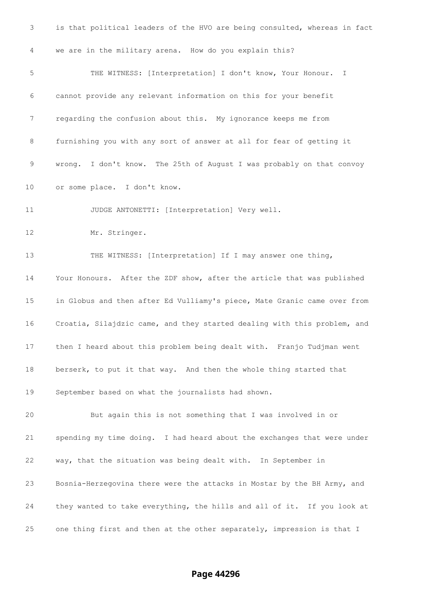| 3               | is that political leaders of the HVO are being consulted, whereas in fact |
|-----------------|---------------------------------------------------------------------------|
| $\overline{4}$  | we are in the military arena. How do you explain this?                    |
| 5               | THE WITNESS: [Interpretation] I don't know, Your Honour. I                |
| 6               | cannot provide any relevant information on this for your benefit          |
| 7               | regarding the confusion about this. My ignorance keeps me from            |
| 8               | furnishing you with any sort of answer at all for fear of getting it      |
| 9               | wrong. I don't know. The 25th of August I was probably on that convoy     |
| 10              | or some place. I don't know.                                              |
| 11              | JUDGE ANTONETTI: [Interpretation] Very well.                              |
| 12              | Mr. Stringer.                                                             |
| 13              | THE WITNESS: [Interpretation] If I may answer one thing,                  |
| 14              | Your Honours. After the ZDF show, after the article that was published    |
| 15 <sub>1</sub> | in Globus and then after Ed Vulliamy's piece, Mate Granic came over from  |
| 16              | Croatia, Silajdzic came, and they started dealing with this problem, and  |
| 17              | then I heard about this problem being dealt with. Franjo Tudjman went     |
| 18              | berserk, to put it that way. And then the whole thing started that        |
| 19              | September based on what the journalists had shown.                        |
| 20              | But again this is not something that I was involved in or                 |
| 21              | spending my time doing. I had heard about the exchanges that were under   |
| 22              | way, that the situation was being dealt with. In September in             |
| 23              | Bosnia-Herzegovina there were the attacks in Mostar by the BH Army, and   |
| 24              | they wanted to take everything, the hills and all of it. If you look at   |
| 25              | one thing first and then at the other separately, impression is that I    |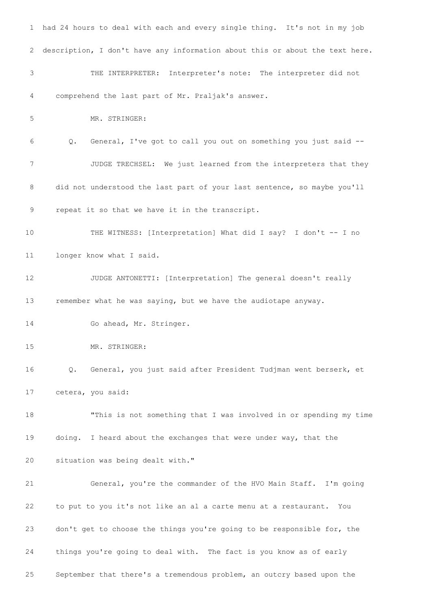had 24 hours to deal with each and every single thing. It's not in my job description, I don't have any information about this or about the text here. THE INTERPRETER: Interpreter's note: The interpreter did not comprehend the last part of Mr. Praljak's answer. MR. STRINGER: Q. General, I've got to call you out on something you just said -- JUDGE TRECHSEL: We just learned from the interpreters that they 8 did not understood the last part of your last sentence, so maybe you'll repeat it so that we have it in the transcript. THE WITNESS: [Interpretation] What did I say? I don't -- I no longer know what I said. JUDGE ANTONETTI: [Interpretation] The general doesn't really remember what he was saying, but we have the audiotape anyway. 14 Go ahead, Mr. Stringer. MR. STRINGER: Q. General, you just said after President Tudjman went berserk, et cetera, you said: "This is not something that I was involved in or spending my time doing. I heard about the exchanges that were under way, that the situation was being dealt with." General, you're the commander of the HVO Main Staff. I'm going to put to you it's not like an al a carte menu at a restaurant. You don't get to choose the things you're going to be responsible for, the things you're going to deal with. The fact is you know as of early September that there's a tremendous problem, an outcry based upon the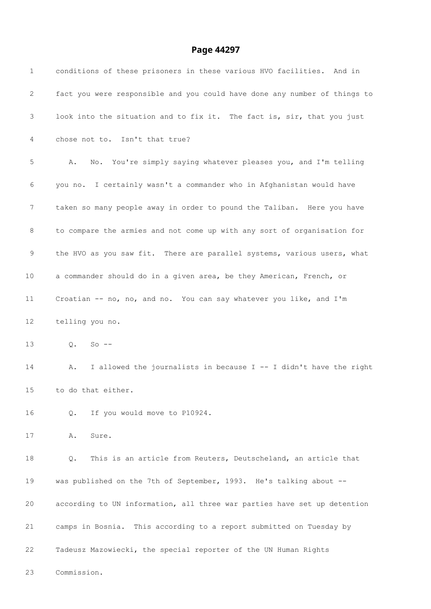| 1               | conditions of these prisoners in these various HVO facilities. And in     |
|-----------------|---------------------------------------------------------------------------|
| 2               | fact you were responsible and you could have done any number of things to |
| 3               | look into the situation and to fix it. The fact is, sir, that you just    |
| 4               | chose not to. Isn't that true?                                            |
| 5               | No. You're simply saying whatever pleases you, and I'm telling<br>Α.      |
| 6               | you no. I certainly wasn't a commander who in Afghanistan would have      |
| 7               | taken so many people away in order to pound the Taliban. Here you have    |
| 8               | to compare the armies and not come up with any sort of organisation for   |
| 9               | the HVO as you saw fit. There are parallel systems, various users, what   |
| 10 <sub>o</sub> | a commander should do in a given area, be they American, French, or       |
| 11              | Croatian -- no, no, and no. You can say whatever you like, and I'm        |
| 12              | telling you no.                                                           |
| 13              | $Q. So --$                                                                |
| 14              | I allowed the journalists in because I -- I didn't have the right<br>Α.   |
| 15              | to do that either.                                                        |
| 16              | If you would move to P10924.<br>$Q$ .                                     |
| 17              | Sure.<br>Α.                                                               |
| 18              | This is an article from Reuters, Deutscheland, an article that<br>Q.      |
| 19              | was published on the 7th of September, 1993. He's talking about --        |
| 20              | according to UN information, all three war parties have set up detention  |
| 21              | camps in Bosnia. This according to a report submitted on Tuesday by       |
| 22              | Tadeusz Mazowiecki, the special reporter of the UN Human Rights           |
| 23              | Commission.                                                               |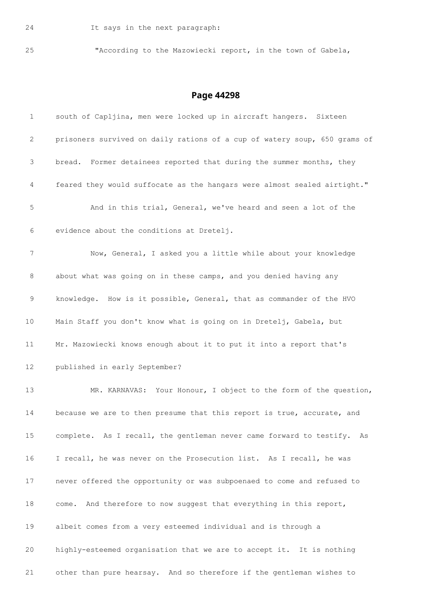"According to the Mazowiecki report, in the town of Gabela,

| $\mathbf 1$ | south of Capljina, men were locked up in aircraft hangers. Sixteen        |
|-------------|---------------------------------------------------------------------------|
| 2           | prisoners survived on daily rations of a cup of watery soup, 650 grams of |
| 3           | bread. Former detainees reported that during the summer months, they      |
| 4           | feared they would suffocate as the hangars were almost sealed airtight."  |
| 5           | And in this trial, General, we've heard and seen a lot of the             |
| 6           | evidence about the conditions at Dretelj.                                 |
| 7           | Now, General, I asked you a little while about your knowledge             |
| 8           | about what was going on in these camps, and you denied having any         |
| 9           | knowledge. How is it possible, General, that as commander of the HVO      |
| 10          | Main Staff you don't know what is going on in Dretelj, Gabela, but        |
| 11          | Mr. Mazowiecki knows enough about it to put it into a report that's       |
| 12          | published in early September?                                             |
| 13          | MR. KARNAVAS: Your Honour, I object to the form of the question,          |
| 14          | because we are to then presume that this report is true, accurate, and    |
| 15          | complete. As I recall, the gentleman never came forward to testify. As    |
| 16          | I recall, he was never on the Prosecution list. As I recall, he was       |
| 17          | never offered the opportunity or was subpoenaed to come and refused to    |
| 18          | come. And therefore to now suggest that everything in this report,        |
| 19          | albeit comes from a very esteemed individual and is through a             |
| 20          | highly-esteemed organisation that we are to accept it. It is nothing      |
| 21          | other than pure hearsay. And so therefore if the gentleman wishes to      |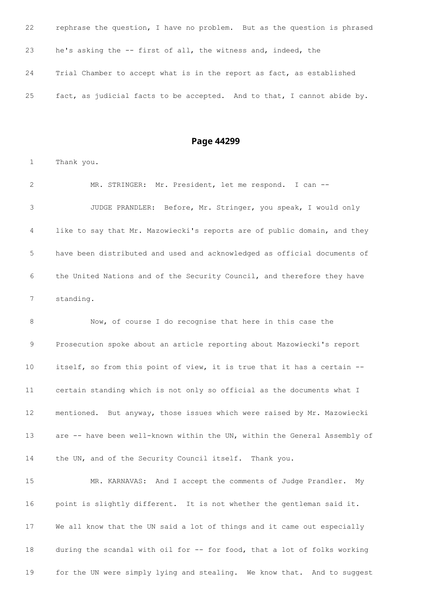| 22 | rephrase the question, I have no problem. But as the question is phrased |
|----|--------------------------------------------------------------------------|
| 23 | he's asking the -- first of all, the witness and, indeed, the            |
| 24 | Trial Chamber to accept what is in the report as fact, as established    |
| 25 | fact, as judicial facts to be accepted. And to that, I cannot abide by.  |

Thank you.

 MR. STRINGER: Mr. President, let me respond. I can -- JUDGE PRANDLER: Before, Mr. Stringer, you speak, I would only like to say that Mr. Mazowiecki's reports are of public domain, and they have been distributed and used and acknowledged as official documents of the United Nations and of the Security Council, and therefore they have standing.

 Now, of course I do recognise that here in this case the Prosecution spoke about an article reporting about Mazowiecki's report itself, so from this point of view, it is true that it has a certain -- certain standing which is not only so official as the documents what I mentioned. But anyway, those issues which were raised by Mr. Mazowiecki 13 are -- have been well-known within the UN, within the General Assembly of the UN, and of the Security Council itself. Thank you.

 MR. KARNAVAS: And I accept the comments of Judge Prandler. My point is slightly different. It is not whether the gentleman said it. We all know that the UN said a lot of things and it came out especially 18 during the scandal with oil for -- for food, that a lot of folks working for the UN were simply lying and stealing. We know that. And to suggest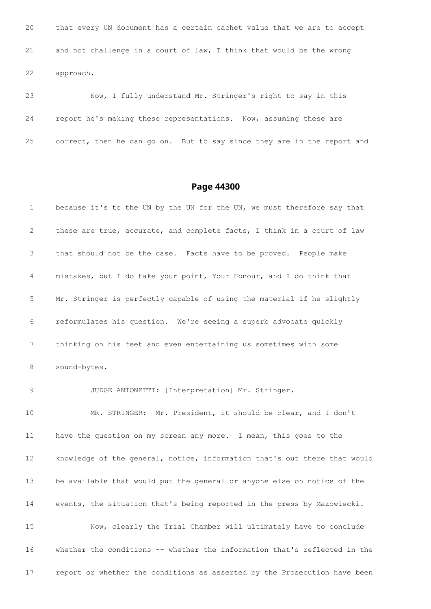that every UN document has a certain cachet value that we are to accept and not challenge in a court of law, I think that would be the wrong approach.

 Now, I fully understand Mr. Stringer's right to say in this report he's making these representations. Now, assuming these are correct, then he can go on. But to say since they are in the report and

#### **Page 44300**

 because it's to the UN by the UN for the UN, we must therefore say that these are true, accurate, and complete facts, I think in a court of law that should not be the case. Facts have to be proved. People make mistakes, but I do take your point, Your Honour, and I do think that Mr. Stringer is perfectly capable of using the material if he slightly reformulates his question. We're seeing a superb advocate quickly thinking on his feet and even entertaining us sometimes with some sound-bytes. JUDGE ANTONETTI: [Interpretation] Mr. Stringer. MR. STRINGER: Mr. President, it should be clear, and I don't have the question on my screen any more. I mean, this goes to the knowledge of the general, notice, information that's out there that would be available that would put the general or anyone else on notice of the events, the situation that's being reported in the press by Mazowiecki. Now, clearly the Trial Chamber will ultimately have to conclude whether the conditions -- whether the information that's reflected in the report or whether the conditions as asserted by the Prosecution have been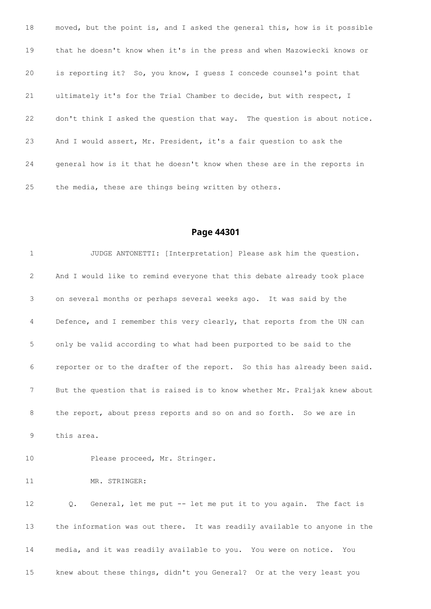moved, but the point is, and I asked the general this, how is it possible that he doesn't know when it's in the press and when Mazowiecki knows or is reporting it? So, you know, I guess I concede counsel's point that ultimately it's for the Trial Chamber to decide, but with respect, I don't think I asked the question that way. The question is about notice. And I would assert, Mr. President, it's a fair question to ask the general how is it that he doesn't know when these are in the reports in the media, these are things being written by others.

| 1               | JUDGE ANTONETTI: [Interpretation] Please ask him the question.            |
|-----------------|---------------------------------------------------------------------------|
| 2               | And I would like to remind everyone that this debate already took place   |
| 3               | on several months or perhaps several weeks ago. It was said by the        |
| 4               | Defence, and I remember this very clearly, that reports from the UN can   |
| 5               | only be valid according to what had been purported to be said to the      |
| 6               | reporter or to the drafter of the report. So this has already been said.  |
| 7               | But the question that is raised is to know whether Mr. Praljak knew about |
| 8               | the report, about press reports and so on and so forth. So we are in      |
| 9               | this area.                                                                |
| 10 <sup>°</sup> | Please proceed, Mr. Stringer.                                             |
| 11              | MR. STRINGER:                                                             |
| 12 <sup>°</sup> | General, let me put -- let me put it to you again. The fact is<br>Q.      |
| 13              | the information was out there. It was readily available to anyone in the  |
| 14              | media, and it was readily available to you. You were on notice. You       |
| 15              | knew about these things, didn't you General? Or at the very least you     |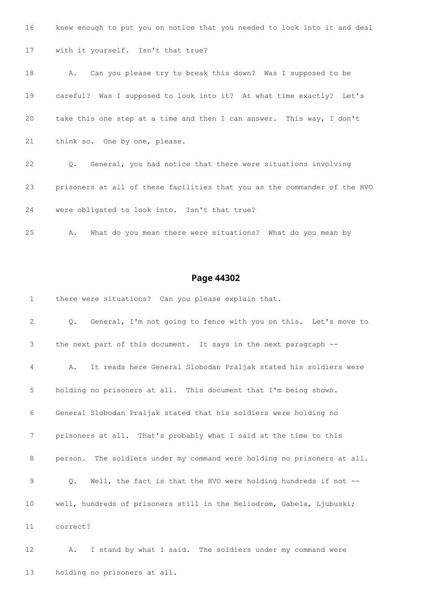| 16 | knew enough to put you on notice that you needed to look into it and deal     |
|----|-------------------------------------------------------------------------------|
| 17 | with it yourself. Isn't that true?                                            |
| 18 | Can you please try to break this down? Was I supposed to be<br>A.             |
| 19 | careful? Was I supposed to look into it? At what time exactly? Let's          |
| 20 | take this one step at a time and then I can answer. This way, I don't         |
| 21 | think so. One by one, please.                                                 |
| 22 | General, you had notice that there were situations involving<br>$Q_{\bullet}$ |
| 23 | prisoners at all of these facilities that you as the commander of the HVO     |
| 24 | were obligated to look into. Isn't that true?                                 |

A. What do you mean there were situations? What do you mean by

# **Page 44302**

there were situations? Can you please explain that.

 Q. General, I'm not going to fence with you on this. Let's move to the next part of this document. It says in the next paragraph -- A. It reads here General Slobodan Praljak stated his soldiers were holding no prisoners at all. This document that I'm being shown. General Slobodan Praljak stated that his soldiers were holding no prisoners at all. That's probably what I said at the time to this person. The soldiers under my command were holding no prisoners at all. Q. Well, the fact is that the HVO were holding hundreds if not -- well, hundreds of prisoners still in the Heliodrom, Gabela, Ljubuski; correct?

 A. I stand by what I said. The soldiers under my command were holding no prisoners at all.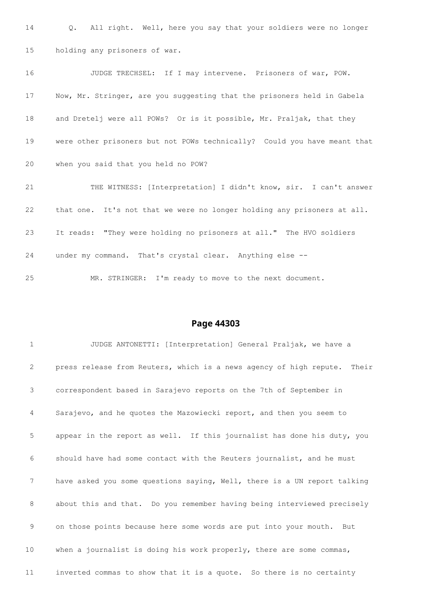Q. All right. Well, here you say that your soldiers were no longer holding any prisoners of war. JUDGE TRECHSEL: If I may intervene. Prisoners of war, POW. Now, Mr. Stringer, are you suggesting that the prisoners held in Gabela and Dretelj were all POWs? Or is it possible, Mr. Praljak, that they were other prisoners but not POWs technically? Could you have meant that when you said that you held no POW? THE WITNESS: [Interpretation] I didn't know, sir. I can't answer that one. It's not that we were no longer holding any prisoners at all. It reads: "They were holding no prisoners at all." The HVO soldiers under my command. That's crystal clear. Anything else -- MR. STRINGER: I'm ready to move to the next document.

## **Page 44303**

 JUDGE ANTONETTI: [Interpretation] General Praljak, we have a press release from Reuters, which is a news agency of high repute. Their correspondent based in Sarajevo reports on the 7th of September in Sarajevo, and he quotes the Mazowiecki report, and then you seem to appear in the report as well. If this journalist has done his duty, you should have had some contact with the Reuters journalist, and he must have asked you some questions saying, Well, there is a UN report talking about this and that. Do you remember having being interviewed precisely on those points because here some words are put into your mouth. But when a journalist is doing his work properly, there are some commas, inverted commas to show that it is a quote. So there is no certainty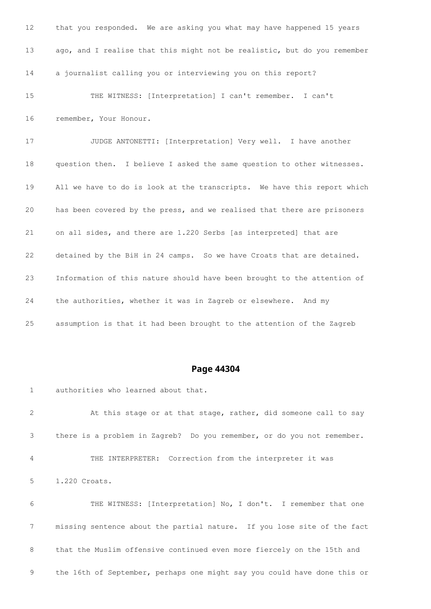| 12 <sup>°</sup> | that you responded. We are asking you what may have happened 15 years    |
|-----------------|--------------------------------------------------------------------------|
| 13              | ago, and I realise that this might not be realistic, but do you remember |
| 14              | a journalist calling you or interviewing you on this report?             |
| 15              | THE WITNESS: [Interpretation] I can't remember. I can't                  |
| 16              | remember, Your Honour.                                                   |
| 17              | JUDGE ANTONETTI: [Interpretation] Very well. I have another              |
| 18              | question then. I believe I asked the same question to other witnesses.   |
| 19              | All we have to do is look at the transcripts. We have this report which  |
| 20              | has been covered by the press, and we realised that there are prisoners  |
| 21              | on all sides, and there are 1.220 Serbs [as interpreted] that are        |
| 22              | detained by the BiH in 24 camps. So we have Croats that are detained.    |
| 23              | Information of this nature should have been brought to the attention of  |
| 24              | the authorities, whether it was in Zagreb or elsewhere. And my           |
| 25              | assumption is that it had been brought to the attention of the Zagreb    |

authorities who learned about that.

 At this stage or at that stage, rather, did someone call to say there is a problem in Zagreb? Do you remember, or do you not remember. THE INTERPRETER: Correction from the interpreter it was 1.220 Croats. THE WITNESS: [Interpretation] No, I don't. I remember that one missing sentence about the partial nature. If you lose site of the fact that the Muslim offensive continued even more fiercely on the 15th and the 16th of September, perhaps one might say you could have done this or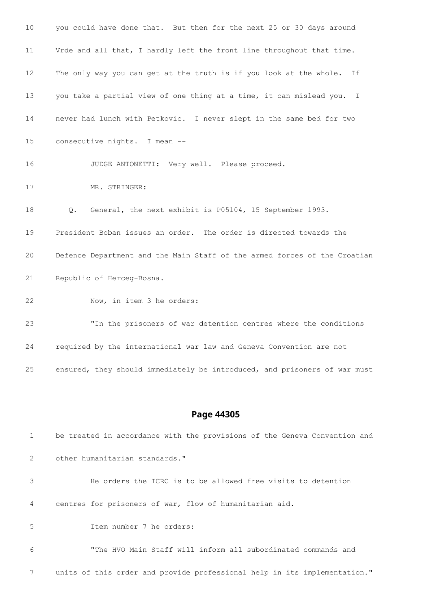| 10 <sub>1</sub> | you could have done that. But then for the next 25 or 30 days around                |
|-----------------|-------------------------------------------------------------------------------------|
| 11              | Vrde and all that, I hardly left the front line throughout that time.               |
| 12              | The only way you can get at the truth is if you look at the whole.<br>Ιf            |
| 13              | you take a partial view of one thing at a time, it can mislead you.<br>$\mathbb{I}$ |
| 14              | never had lunch with Petkovic. I never slept in the same bed for two                |
| 15              | consecutive nights. I mean --                                                       |
| 16              | JUDGE ANTONETTI: Very well. Please proceed.                                         |
| 17              | MR. STRINGER:                                                                       |
| 18              | General, the next exhibit is P05104, 15 September 1993.<br>Q.                       |
| 19              | President Boban issues an order. The order is directed towards the                  |
| 20              | Defence Department and the Main Staff of the armed forces of the Croatian           |
| 21              | Republic of Herceg-Bosna.                                                           |
| 22              | Now, in item 3 he orders:                                                           |
| 23              | "In the prisoners of war detention centres where the conditions                     |
| 24              | required by the international war law and Geneva Convention are not                 |
| 25              | ensured, they should immediately be introduced, and prisoners of war must           |
|                 |                                                                                     |

| 1           | be treated in accordance with the provisions of the Geneva Convention and |
|-------------|---------------------------------------------------------------------------|
| 2           | other humanitarian standards."                                            |
| 3           | He orders the ICRC is to be allowed free visits to detention              |
| 4           | centres for prisoners of war, flow of humanitarian aid.                   |
| $5^{\circ}$ | Item number 7 he orders:                                                  |
| 6           | "The HVO Main Staff will inform all subordinated commands and             |
| 7           | units of this order and provide professional help in its implementation." |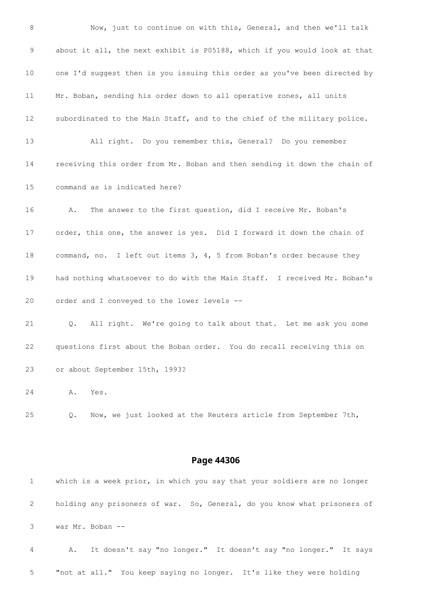Now, just to continue on with this, General, and then we'll talk about it all, the next exhibit is P05188, which if you would look at that one I'd suggest then is you issuing this order as you've been directed by Mr. Boban, sending his order down to all operative zones, all units subordinated to the Main Staff, and to the chief of the military police. All right. Do you remember this, General? Do you remember receiving this order from Mr. Boban and then sending it down the chain of command as is indicated here? A. The answer to the first question, did I receive Mr. Boban's order, this one, the answer is yes. Did I forward it down the chain of command, no. I left out items 3, 4, 5 from Boban's order because they had nothing whatsoever to do with the Main Staff. I received Mr. Boban's order and I conveyed to the lower levels -- Q. All right. We're going to talk about that. Let me ask you some questions first about the Boban order. You do recall receiving this on or about September 15th, 1993? A. Yes. Q. Now, we just looked at the Reuters article from September 7th,

### **Page 44306**

|                | which is a week prior, in which you say that your soldiers are no longer |
|----------------|--------------------------------------------------------------------------|
| 2              | holding any prisoners of war. So, General, do you know what prisoners of |
| 3              | war Mr. Boban --                                                         |
| $\overline{4}$ | It doesn't say "no longer." It doesn't say "no longer." It says<br>Α.    |

"not at all." You keep saying no longer. It's like they were holding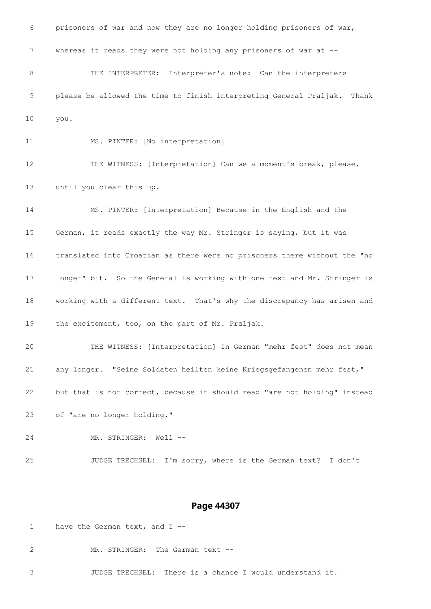prisoners of war and now they are no longer holding prisoners of war, 7 whereas it reads they were not holding any prisoners of war at --8 THE INTERPRETER: Interpreter's note: Can the interpreters please be allowed the time to finish interpreting General Praljak. Thank you. MS. PINTER: [No interpretation]

 THE WITNESS: [Interpretation] Can we a moment's break, please, until you clear this up.

 MS. PINTER: [Interpretation] Because in the English and the German, it reads exactly the way Mr. Stringer is saying, but it was translated into Croatian as there were no prisoners there without the "no longer" bit. So the General is working with one text and Mr. Stringer is working with a different text. That's why the discrepancy has arisen and the excitement, too, on the part of Mr. Praljak.

 THE WITNESS: [Interpretation] In German "mehr fest" does not mean any longer. "Seine Soldaten heilten keine Kriegsgefangenen mehr fest," but that is not correct, because it should read "are not holding" instead

of "are no longer holding."

24 MR. STRINGER: Well --

JUDGE TRECHSEL: I'm sorry, where is the German text? I don't

### **Page 44307**

1 have the German text, and I --

2 MR. STRINGER: The German text --

JUDGE TRECHSEL: There is a chance I would understand it.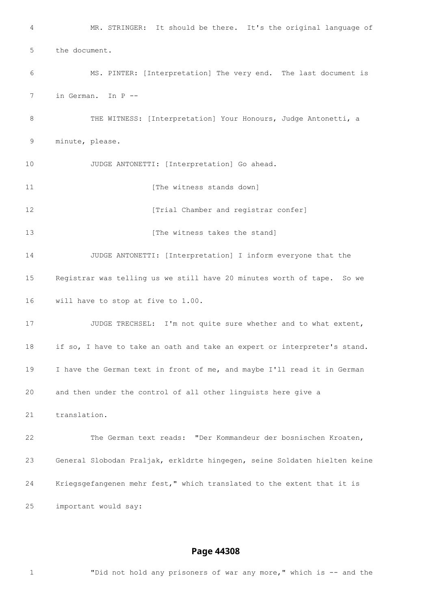MR. STRINGER: It should be there. It's the original language of the document. MS. PINTER: [Interpretation] The very end. The last document is in German. In P -- 8 THE WITNESS: [Interpretation] Your Honours, Judge Antonetti, a minute, please. JUDGE ANTONETTI: [Interpretation] Go ahead. **11 Intervalle 11** The witness stands down **12 I** [Trial Chamber and registrar confer] **I** [The witness takes the stand] JUDGE ANTONETTI: [Interpretation] I inform everyone that the Registrar was telling us we still have 20 minutes worth of tape. So we will have to stop at five to 1.00. 17 JUDGE TRECHSEL: I'm not quite sure whether and to what extent, if so, I have to take an oath and take an expert or interpreter's stand. I have the German text in front of me, and maybe I'll read it in German and then under the control of all other linguists here give a translation. The German text reads: "Der Kommandeur der bosnischen Kroaten, General Slobodan Praljak, erkldrte hingegen, seine Soldaten hielten keine Kriegsgefangenen mehr fest," which translated to the extent that it is important would say:

# **Page 44308**

"Did not hold any prisoners of war any more," which is -- and the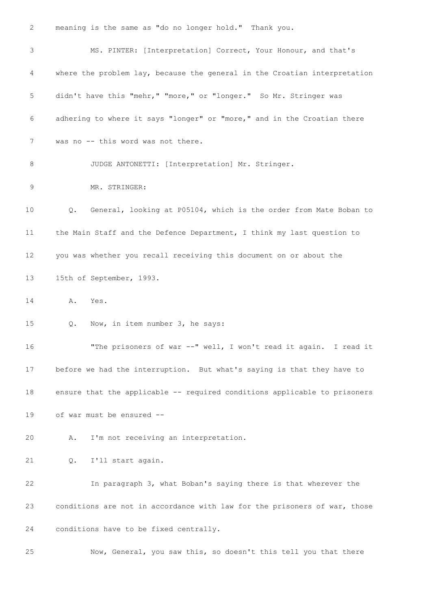meaning is the same as "do no longer hold." Thank you. MS. PINTER: [Interpretation] Correct, Your Honour, and that's where the problem lay, because the general in the Croatian interpretation didn't have this "mehr," "more," or "longer." So Mr. Stringer was adhering to where it says "longer" or "more," and in the Croatian there was no -- this word was not there. 8 JUDGE ANTONETTI: [Interpretation] Mr. Stringer. MR. STRINGER: Q. General, looking at P05104, which is the order from Mate Boban to the Main Staff and the Defence Department, I think my last question to you was whether you recall receiving this document on or about the 15th of September, 1993. A. Yes. Q. Now, in item number 3, he says: "The prisoners of war --" well, I won't read it again. I read it before we had the interruption. But what's saying is that they have to ensure that the applicable -- required conditions applicable to prisoners of war must be ensured -- A. I'm not receiving an interpretation. Q. I'll start again. In paragraph 3, what Boban's saying there is that wherever the conditions are not in accordance with law for the prisoners of war, those conditions have to be fixed centrally.

Now, General, you saw this, so doesn't this tell you that there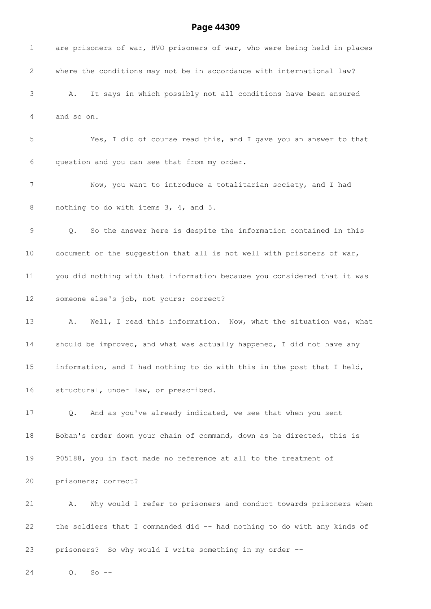| $\mathbf{1}$ | are prisoners of war, HVO prisoners of war, who were being held in places        |
|--------------|----------------------------------------------------------------------------------|
| 2            | where the conditions may not be in accordance with international law?            |
| 3            | It says in which possibly not all conditions have been ensured<br>Α.             |
| 4            | and so on.                                                                       |
| 5            | Yes, I did of course read this, and I gave you an answer to that                 |
| 6            | question and you can see that from my order.                                     |
| 7            | Now, you want to introduce a totalitarian society, and I had                     |
| 8            | nothing to do with items 3, 4, and 5.                                            |
| 9            | So the answer here is despite the information contained in this<br>$Q_{\bullet}$ |
| 10           | document or the suggestion that all is not well with prisoners of war,           |
| 11           | you did nothing with that information because you considered that it was         |
| 12           | someone else's job, not yours; correct?                                          |
| 13           | Well, I read this information. Now, what the situation was, what<br>Α.           |
| 14           | should be improved, and what was actually happened, I did not have any           |
| $15\,$       | information, and I had nothing to do with this in the post that I held,          |
| 16           | structural, under law, or prescribed.                                            |
| 17           | And as you've already indicated, we see that when you sent<br>Q.                 |
| 18           | Boban's order down your chain of command, down as he directed, this is           |
| 19           | P05188, you in fact made no reference at all to the treatment of                 |
| 20           | prisoners; correct?                                                              |
| 21           | Why would I refer to prisoners and conduct towards prisoners when<br>Α.          |
| 22           | the soldiers that I commanded did -- had nothing to do with any kinds of         |
| 23           | prisoners? So why would I write something in my order --                         |
| 24           | $So$ --<br>Q.                                                                    |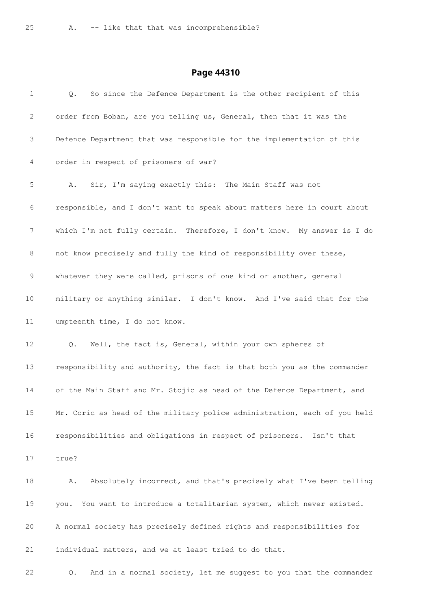| $\mathbf 1$  | So since the Defence Department is the other recipient of this<br>Q.      |
|--------------|---------------------------------------------------------------------------|
| $\mathbf{2}$ | order from Boban, are you telling us, General, then that it was the       |
| 3            | Defence Department that was responsible for the implementation of this    |
| 4            | order in respect of prisoners of war?                                     |
| 5            | Sir, I'm saying exactly this: The Main Staff was not<br>Α.                |
| 6            | responsible, and I don't want to speak about matters here in court about  |
| 7            | which I'm not fully certain. Therefore, I don't know. My answer is I do   |
| 8            | not know precisely and fully the kind of responsibility over these,       |
| 9            | whatever they were called, prisons of one kind or another, general        |
| 10           | military or anything similar. I don't know. And I've said that for the    |
| 11           | umpteenth time, I do not know.                                            |
| 12           | Well, the fact is, General, within your own spheres of<br>$Q_{\bullet}$   |
| 13           | responsibility and authority, the fact is that both you as the commander  |
| 14           | of the Main Staff and Mr. Stojic as head of the Defence Department, and   |
| 15           | Mr. Coric as head of the military police administration, each of you held |
| 16           | responsibilities and obligations in respect of prisoners.<br>Isn't that   |
| 17           | true?                                                                     |
| 18           | Absolutely incorrect, and that's precisely what I've been telling<br>Α.   |
| 19           | You want to introduce a totalitarian system, which never existed.<br>you. |
| 20           | A normal society has precisely defined rights and responsibilities for    |
| 21           | individual matters, and we at least tried to do that.                     |
| 22           | And in a normal society, let me suggest to you that the commander<br>Q.   |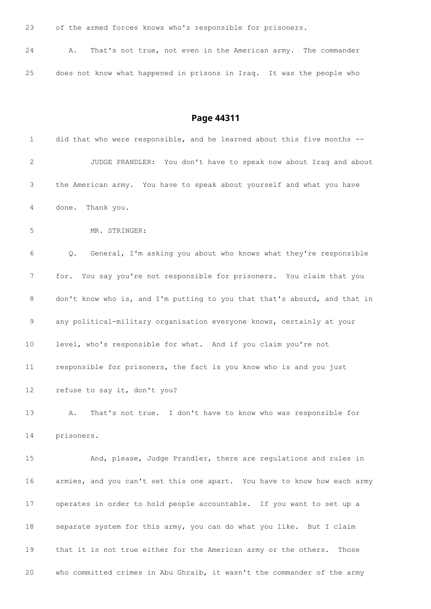of the armed forces knows who's responsible for prisoners.

| 24 |  |  |  |  | A. That's not true, not even in the American army. The commander      |  |  |  |
|----|--|--|--|--|-----------------------------------------------------------------------|--|--|--|
|    |  |  |  |  |                                                                       |  |  |  |
| 25 |  |  |  |  | does not know what happened in prisons in Iraq. It was the people who |  |  |  |

| $\mathbf 1$      | did that who were responsible, and he learned about this five months --   |
|------------------|---------------------------------------------------------------------------|
| 2                | JUDGE PRANDLER: You don't have to speak now about Iraq and about          |
| 3                | the American army. You have to speak about yourself and what you have     |
| 4                | done. Thank you.                                                          |
| 5                | MR. STRINGER:                                                             |
| 6                | General, I'm asking you about who knows what they're responsible<br>Q.    |
| $\boldsymbol{7}$ | for. You say you're not responsible for prisoners. You claim that you     |
| 8                | don't know who is, and I'm putting to you that that's absurd, and that in |
| $\mathsf 9$      | any political-military organisation everyone knows, certainly at your     |
| 10               | level, who's responsible for what. And if you claim you're not            |
| 11               | responsible for prisoners, the fact is you know who is and you just       |
| 12 <sup>°</sup>  | refuse to say it, don't you?                                              |
| 13               | That's not true. I don't have to know who was responsible for<br>Α.       |
| 14               | prisoners.                                                                |
| 15               | And, please, Judge Prandler, there are regulations and rules in           |
| 16               | armies, and you can't set this one apart. You have to know how each army  |
| 17               | operates in order to hold people accountable. If you want to set up a     |
| 18               | separate system for this army, you can do what you like. But I claim      |
| 19               | that it is not true either for the American army or the others. Those     |
| 20               | who committed crimes in Abu Ghraib, it wasn't the commander of the army   |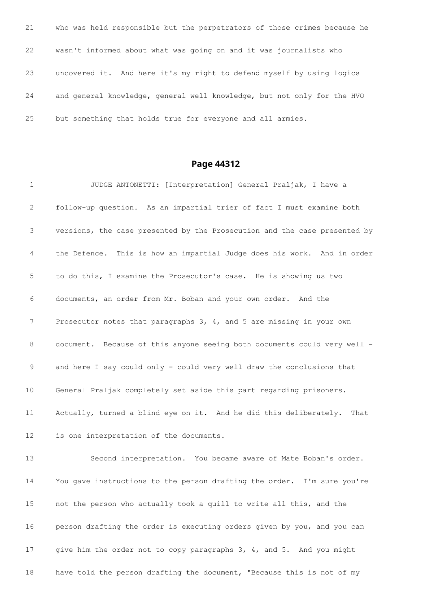| 21 | who was held responsible but the perpetrators of those crimes because he |
|----|--------------------------------------------------------------------------|
| 22 | wasn't informed about what was going on and it was journalists who       |
| 23 | uncovered it. And here it's my right to defend myself by using logics    |
| 24 | and general knowledge, general well knowledge, but not only for the HVO  |
| 25 | but something that holds true for everyone and all armies.               |

 JUDGE ANTONETTI: [Interpretation] General Praljak, I have a follow-up question. As an impartial trier of fact I must examine both versions, the case presented by the Prosecution and the case presented by the Defence. This is how an impartial Judge does his work. And in order to do this, I examine the Prosecutor's case. He is showing us two documents, an order from Mr. Boban and your own order. And the Prosecutor notes that paragraphs 3, 4, and 5 are missing in your own document. Because of this anyone seeing both documents could very well - and here I say could only - could very well draw the conclusions that General Praljak completely set aside this part regarding prisoners. Actually, turned a blind eye on it. And he did this deliberately. That is one interpretation of the documents. Second interpretation. You became aware of Mate Boban's order. You gave instructions to the person drafting the order. I'm sure you're not the person who actually took a quill to write all this, and the person drafting the order is executing orders given by you, and you can give him the order not to copy paragraphs 3, 4, and 5. And you might have told the person drafting the document, "Because this is not of my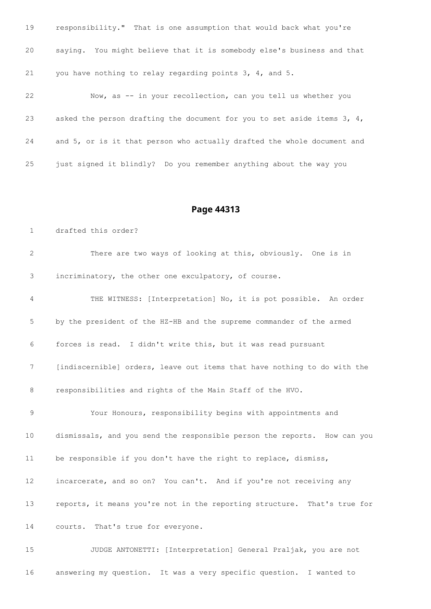| 19 | responsibility." That is one assumption that would back what you're       |
|----|---------------------------------------------------------------------------|
| 20 | saying. You might believe that it is somebody else's business and that    |
| 21 | you have nothing to relay regarding points $3, 4,$ and $5.$               |
| 22 | Now, as -- in your recollection, can you tell us whether you              |
| 23 | asked the person drafting the document for you to set aside items $3, 4,$ |
| 24 | and 5, or is it that person who actually drafted the whole document and   |
| 25 | just signed it blindly? Do you remember anything about the way you        |

drafted this order?

| 2  | There are two ways of looking at this, obviously. One is in              |
|----|--------------------------------------------------------------------------|
| 3  | incriminatory, the other one exculpatory, of course.                     |
| 4  | THE WITNESS: [Interpretation] No, it is pot possible. An order           |
| 5  | by the president of the HZ-HB and the supreme commander of the armed     |
| 6  | forces is read. I didn't write this, but it was read pursuant            |
| 7  | [indiscernible] orders, leave out items that have nothing to do with the |
| 8  | responsibilities and rights of the Main Staff of the HVO.                |
| 9  | Your Honours, responsibility begins with appointments and                |
| 10 | dismissals, and you send the responsible person the reports. How can you |
| 11 | be responsible if you don't have the right to replace, dismiss,          |
| 12 | incarcerate, and so on? You can't. And if you're not receiving any       |
| 13 | reports, it means you're not in the reporting structure. That's true for |
| 14 | courts. That's true for everyone.                                        |
| 15 | JUDGE ANTONETTI: [Interpretation] General Praljak, you are not           |

answering my question. It was a very specific question. I wanted to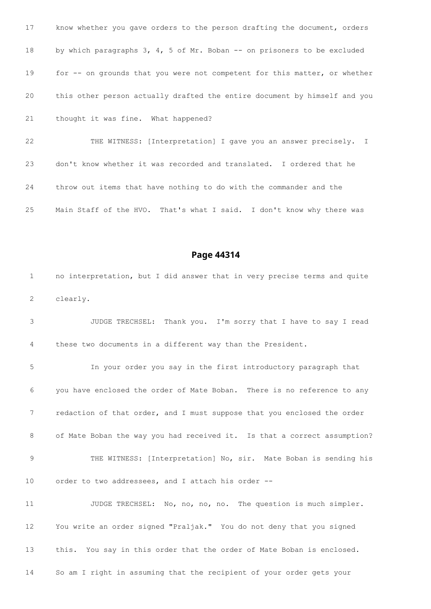| know whether you gave orders to the person drafting the document, orders   |
|----------------------------------------------------------------------------|
| by which paragraphs 3, 4, 5 of Mr. Boban $-$ - on prisoners to be excluded |
| for -- on grounds that you were not competent for this matter, or whether  |
| this other person actually drafted the entire document by himself and you  |
| thought it was fine. What happened?                                        |
| THE WITNESS: [Interpretation] I gave you an answer precisely. I            |
|                                                                            |

throw out items that have nothing to do with the commander and the

don't know whether it was recorded and translated. I ordered that he

Main Staff of the HVO. That's what I said. I don't know why there was

## **Page 44314**

 no interpretation, but I did answer that in very precise terms and quite clearly.

 JUDGE TRECHSEL: Thank you. I'm sorry that I have to say I read these two documents in a different way than the President.

 In your order you say in the first introductory paragraph that you have enclosed the order of Mate Boban. There is no reference to any redaction of that order, and I must suppose that you enclosed the order 8 of Mate Boban the way you had received it. Is that a correct assumption? 9 THE WITNESS: [Interpretation] No, sir. Mate Boban is sending his order to two addressees, and I attach his order --

11 JUDGE TRECHSEL: No, no, no, no. The question is much simpler. You write an order signed "Praljak." You do not deny that you signed this. You say in this order that the order of Mate Boban is enclosed. So am I right in assuming that the recipient of your order gets your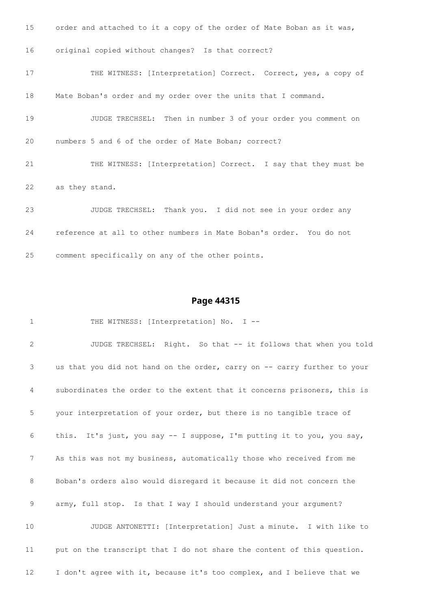| 15 | order and attached to it a copy of the order of Mate Boban as it was, |
|----|-----------------------------------------------------------------------|
| 16 | original copied without changes? Is that correct?                     |
| 17 | THE WITNESS: [Interpretation] Correct. Correct, yes, a copy of        |
| 18 | Mate Boban's order and my order over the units that I command.        |
| 19 | JUDGE TRECHSEL: Then in number 3 of your order you comment on         |
| 20 | numbers 5 and 6 of the order of Mate Boban; correct?                  |
| 21 | THE WITNESS: [Interpretation] Correct. I say that they must be        |
| 22 | as they stand.                                                        |
| 23 | JUDGE TRECHSEL: Thank you. I did not see in your order any            |
| 24 | reference at all to other numbers in Mate Boban's order. You do not   |
| 25 | comment specifically on any of the other points.                      |

1 THE WITNESS: [Interpretation] No. I -- JUDGE TRECHSEL: Right. So that -- it follows that when you told us that you did not hand on the order, carry on -- carry further to your subordinates the order to the extent that it concerns prisoners, this is your interpretation of your order, but there is no tangible trace of this. It's just, you say -- I suppose, I'm putting it to you, you say, As this was not my business, automatically those who received from me Boban's orders also would disregard it because it did not concern the army, full stop. Is that I way I should understand your argument? JUDGE ANTONETTI: [Interpretation] Just a minute. I with like to put on the transcript that I do not share the content of this question. I don't agree with it, because it's too complex, and I believe that we